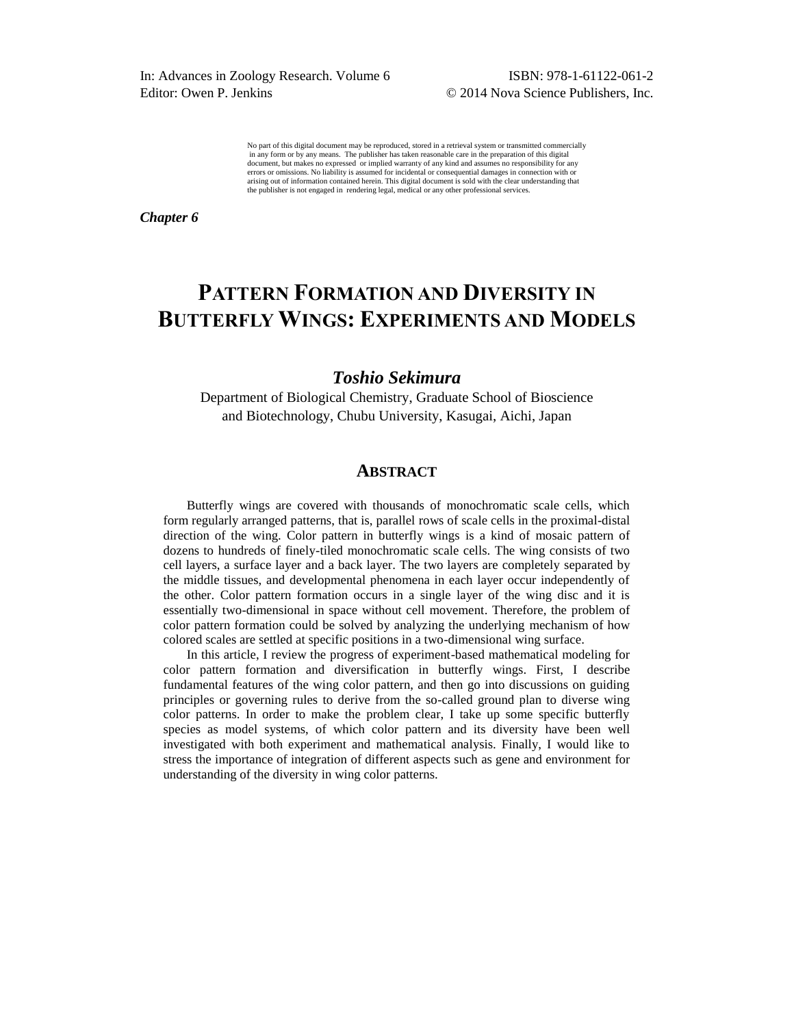In: Advances in Zoology Research. Volume 6 ISBN: 978-1-61122-061-2 Editor: Owen P. Jenkins © 2014 Nova Science Publishers, Inc.

No part of this digital document may be reproduced, stored in a retrieval system or transmitted commercially in any form or by any means. The publisher has taken reasonable care in the preparation of this digital document, but makes no expressed or implied warranty of any kind and assumes no responsibility for any errors or omissions. No liability is assumed for incidental or consequential damages in connection with or arising out of information contained herein. This digital document is sold with the clear understanding that the publisher is not engaged in rendering legal, medical or any other professional services.

*Chapter 6* 

# **PATTERN FORMATION AND DIVERSITY IN BUTTERFLY WINGS: EXPERIMENTS AND MODELS**

## *Toshio Sekimura*

Department of Biological Chemistry, Graduate School of Bioscience and Biotechnology, Chubu University, Kasugai, Aichi, Japan

### **ABSTRACT**

Butterfly wings are covered with thousands of monochromatic scale cells, which form regularly arranged patterns, that is, parallel rows of scale cells in the proximal-distal direction of the wing. Color pattern in butterfly wings is a kind of mosaic pattern of dozens to hundreds of finely-tiled monochromatic scale cells. The wing consists of two cell layers, a surface layer and a back layer. The two layers are completely separated by the middle tissues, and developmental phenomena in each layer occur independently of the other. Color pattern formation occurs in a single layer of the wing disc and it is essentially two-dimensional in space without cell movement. Therefore, the problem of color pattern formation could be solved by analyzing the underlying mechanism of how colored scales are settled at specific positions in a two-dimensional wing surface.

In this article, I review the progress of experiment-based mathematical modeling for color pattern formation and diversification in butterfly wings. First, I describe fundamental features of the wing color pattern, and then go into discussions on guiding principles or governing rules to derive from the so-called ground plan to diverse wing color patterns. In order to make the problem clear, I take up some specific butterfly species as model systems, of which color pattern and its diversity have been well investigated with both experiment and mathematical analysis. Finally, I would like to stress the importance of integration of different aspects such as gene and environment for understanding of the diversity in wing color patterns.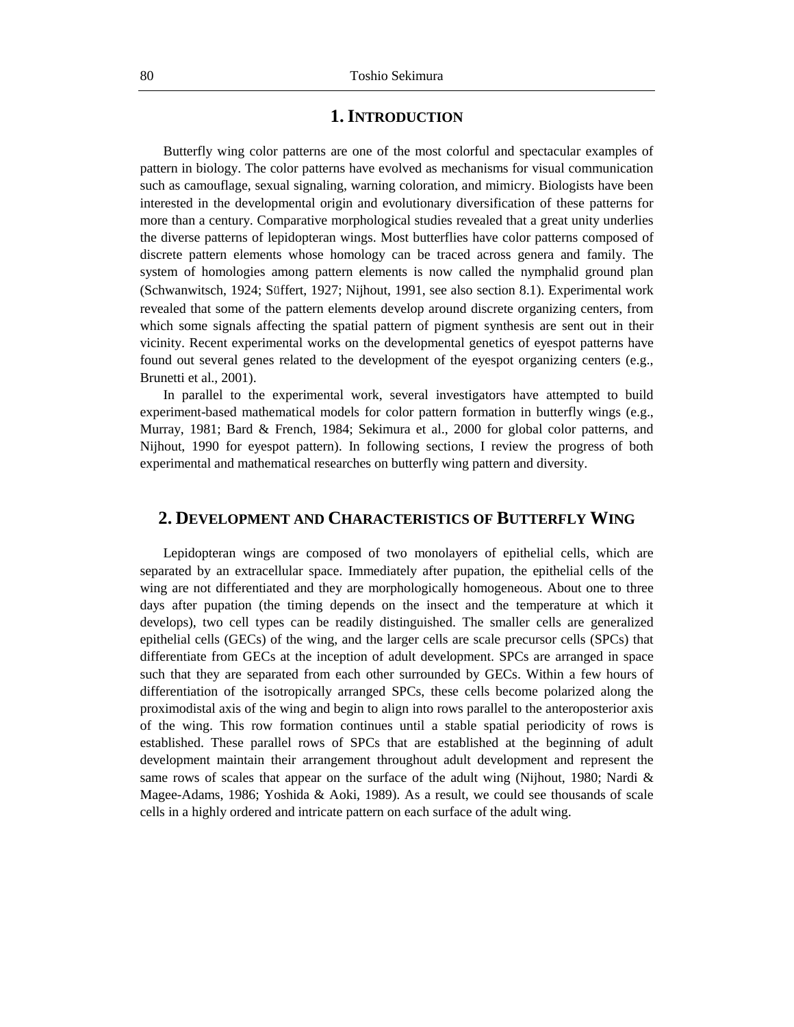## **1.INTRODUCTION**

Butterfly wing color patterns are one of the most colorful and spectacular examples of pattern in biology. The color patterns have evolved as mechanisms for visual communication such as camouflage, sexual signaling, warning coloration, and mimicry. Biologists have been interested in the developmental origin and evolutionary diversification of these patterns for more than a century. Comparative morphological studies revealed that a great unity underlies the diverse patterns of lepidopteran wings. Most butterflies have color patterns composed of discrete pattern elements whose homology can be traced across genera and family. The system of homologies among pattern elements is now called the nymphalid ground plan (Schwanwitsch, 1924; Süffert, 1927; Nijhout, 1991, see also section 8.1). Experimental work revealed that some of the pattern elements develop around discrete organizing centers, from which some signals affecting the spatial pattern of pigment synthesis are sent out in their vicinity. Recent experimental works on the developmental genetics of eyespot patterns have found out several genes related to the development of the eyespot organizing centers (e.g., Brunetti et al., 2001).

In parallel to the experimental work, several investigators have attempted to build experiment-based mathematical models for color pattern formation in butterfly wings (e.g., Murray, 1981; Bard & French, 1984; Sekimura et al., 2000 for global color patterns, and Nijhout, 1990 for eyespot pattern). In following sections, I review the progress of both experimental and mathematical researches on butterfly wing pattern and diversity.

### **2. DEVELOPMENT AND CHARACTERISTICS OF BUTTERFLY WING**

Lepidopteran wings are composed of two monolayers of epithelial cells, which are separated by an extracellular space. Immediately after pupation, the epithelial cells of the wing are not differentiated and they are morphologically homogeneous. About one to three days after pupation (the timing depends on the insect and the temperature at which it develops), two cell types can be readily distinguished. The smaller cells are generalized epithelial cells (GECs) of the wing, and the larger cells are scale precursor cells (SPCs) that differentiate from GECs at the inception of adult development. SPCs are arranged in space such that they are separated from each other surrounded by GECs. Within a few hours of differentiation of the isotropically arranged SPCs, these cells become polarized along the proximodistal axis of the wing and begin to align into rows parallel to the anteroposterior axis of the wing. This row formation continues until a stable spatial periodicity of rows is established. These parallel rows of SPCs that are established at the beginning of adult development maintain their arrangement throughout adult development and represent the same rows of scales that appear on the surface of the adult wing (Nijhout, 1980; Nardi  $\&$ Magee-Adams, 1986; Yoshida & Aoki, 1989). As a result, we could see thousands of scale cells in a highly ordered and intricate pattern on each surface of the adult wing.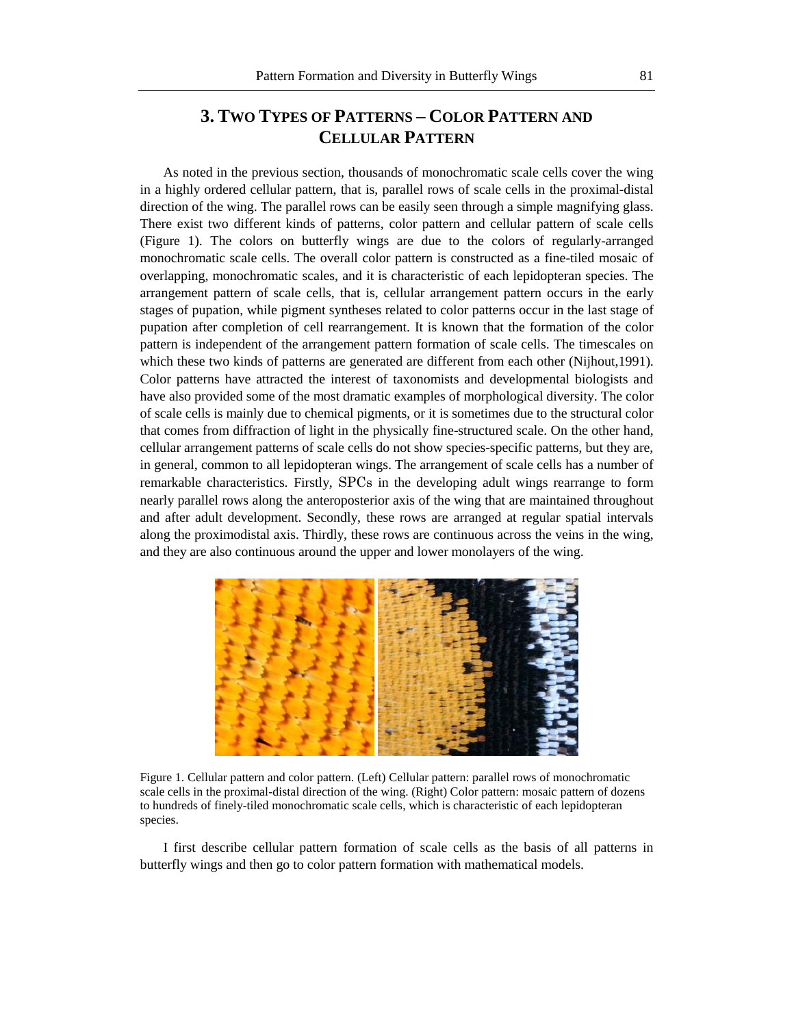## **3. TWO TYPES OF PATTERNS – COLOR PATTERN AND CELLULAR PATTERN**

As noted in the previous section, thousands of monochromatic scale cells cover the wing in a highly ordered cellular pattern, that is, parallel rows of scale cells in the proximal-distal direction of the wing. The parallel rows can be easily seen through a simple magnifying glass. There exist two different kinds of patterns, color pattern and cellular pattern of scale cells (Figure 1). The colors on butterfly wings are due to the colors of regularly-arranged monochromatic scale cells. The overall color pattern is constructed as a fine-tiled mosaic of overlapping, monochromatic scales, and it is characteristic of each lepidopteran species. The arrangement pattern of scale cells, that is, cellular arrangement pattern occurs in the early stages of pupation, while pigment syntheses related to color patterns occur in the last stage of pupation after completion of cell rearrangement. It is known that the formation of the color pattern is independent of the arrangement pattern formation of scale cells. The timescales on which these two kinds of patterns are generated are different from each other (Nijhout,1991). Color patterns have attracted the interest of taxonomists and developmental biologists and have also provided some of the most dramatic examples of morphological diversity. The color of scale cells is mainly due to chemical pigments, or it is sometimes due to the structural color that comes from diffraction of light in the physically fine-structured scale. On the other hand, cellular arrangement patterns of scale cells do not show species-specific patterns, but they are, in general, common to all lepidopteran wings. The arrangement of scale cells has a number of remarkable characteristics. Firstly, SPCs in the developing adult wings rearrange to form nearly parallel rows along the anteroposterior axis of the wing that are maintained throughout and after adult development. Secondly, these rows are arranged at regular spatial intervals along the proximodistal axis. Thirdly, these rows are continuous across the veins in the wing, and they are also continuous around the upper and lower monolayers of the wing.



Figure 1. Cellular pattern and color pattern. (Left) Cellular pattern: parallel rows of monochromatic scale cells in the proximal-distal direction of the wing. (Right) Color pattern: mosaic pattern of dozens to hundreds of finely-tiled monochromatic scale cells, which is characteristic of each lepidopteran species.

I first describe cellular pattern formation of scale cells as the basis of all patterns in butterfly wings and then go to color pattern formation with mathematical models.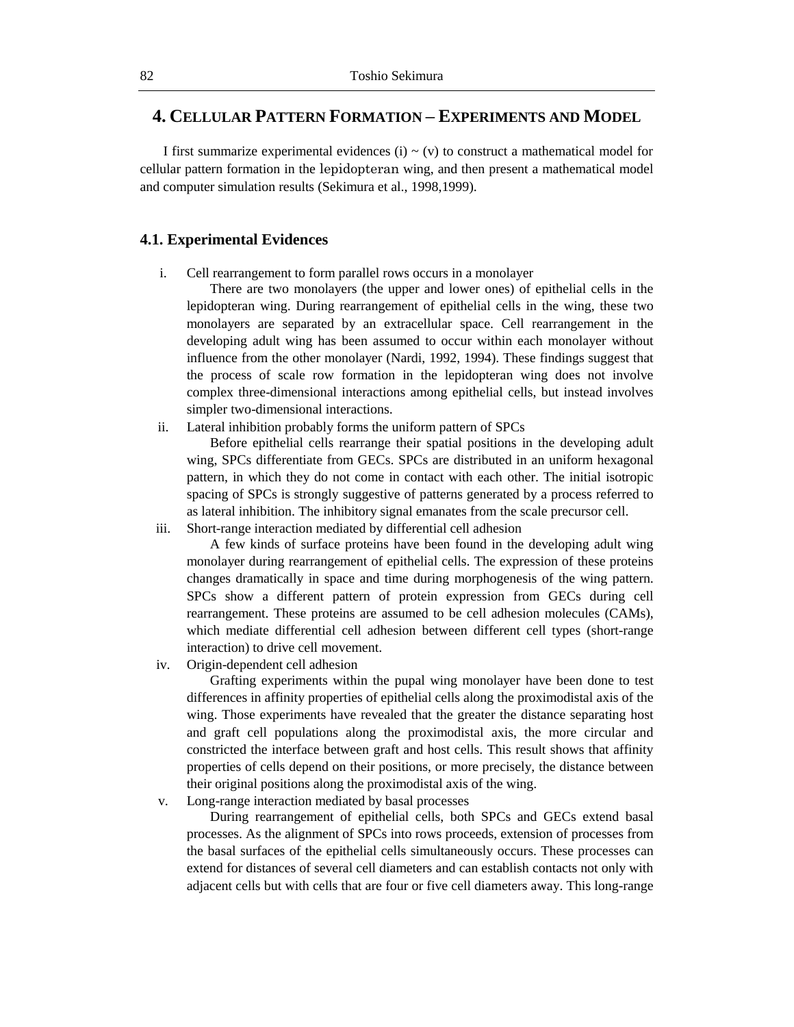## **4. CELLULAR PATTERN FORMATION – EXPERIMENTS AND MODEL**

I first summarize experimental evidences (i)  $\sim$  (v) to construct a mathematical model for cellular pattern formation in the lepidopteran wing, and then present a mathematical model and computer simulation results (Sekimura et al., 1998,1999).

#### **4.1. Experimental Evidences**

i. Cell rearrangement to form parallel rows occurs in a monolayer

There are two monolayers (the upper and lower ones) of epithelial cells in the lepidopteran wing. During rearrangement of epithelial cells in the wing, these two monolayers are separated by an extracellular space. Cell rearrangement in the developing adult wing has been assumed to occur within each monolayer without influence from the other monolayer (Nardi, 1992, 1994). These findings suggest that the process of scale row formation in the lepidopteran wing does not involve complex three-dimensional interactions among epithelial cells, but instead involves simpler two-dimensional interactions.

ii. Lateral inhibition probably forms the uniform pattern of SPCs

Before epithelial cells rearrange their spatial positions in the developing adult wing, SPCs differentiate from GECs. SPCs are distributed in an uniform hexagonal pattern, in which they do not come in contact with each other. The initial isotropic spacing of SPCs is strongly suggestive of patterns generated by a process referred to as lateral inhibition. The inhibitory signal emanates from the scale precursor cell.

iii. Short-range interaction mediated by differential cell adhesion

A few kinds of surface proteins have been found in the developing adult wing monolayer during rearrangement of epithelial cells. The expression of these proteins changes dramatically in space and time during morphogenesis of the wing pattern. SPCs show a different pattern of protein expression from GECs during cell rearrangement. These proteins are assumed to be cell adhesion molecules (CAMs), which mediate differential cell adhesion between different cell types (short-range interaction) to drive cell movement.

iv. Origin-dependent cell adhesion

Grafting experiments within the pupal wing monolayer have been done to test differences in affinity properties of epithelial cells along the proximodistal axis of the wing. Those experiments have revealed that the greater the distance separating host and graft cell populations along the proximodistal axis, the more circular and constricted the interface between graft and host cells. This result shows that affinity properties of cells depend on their positions, or more precisely, the distance between their original positions along the proximodistal axis of the wing.

v. Long-range interaction mediated by basal processes

During rearrangement of epithelial cells, both SPCs and GECs extend basal processes. As the alignment of SPCs into rows proceeds, extension of processes from the basal surfaces of the epithelial cells simultaneously occurs. These processes can extend for distances of several cell diameters and can establish contacts not only with adjacent cells but with cells that are four or five cell diameters away. This long-range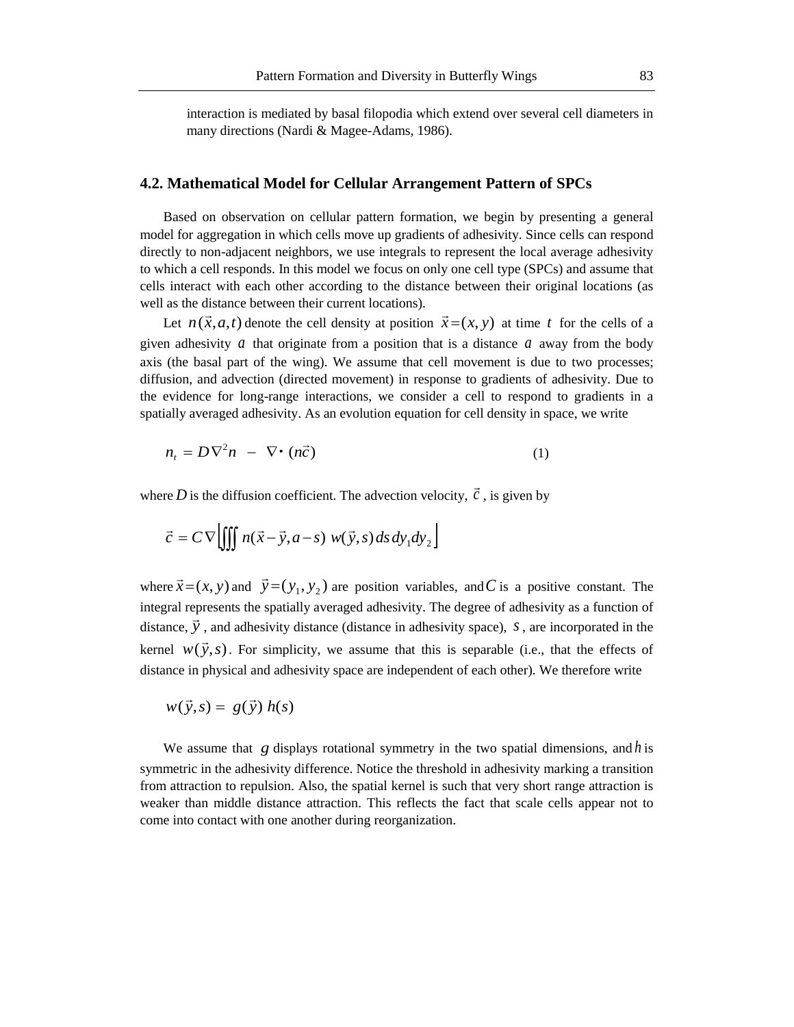interaction is mediated by basal filopodia which extend over several cell diameters in many directions (Nardi & Magee-Adams, 1986).

#### **4.2. Mathematical Model for Cellular Arrangement Pattern of SPCs**

Based on observation on cellular pattern formation, we begin by presenting a general model for aggregation in which cells move up gradients of adhesivity. Since cells can respond directly to non-adjacent neighbors, we use integrals to represent the local average adhesivity to which a cell responds. In this model we focus on only one cell type (SPCs) and assume that cells interact with each other according to the distance between their original locations (as well as the distance between their current locations).

Let  $n(\vec{x}, a, t)$  denote the cell density at position  $\vec{x} = (x, y)$  at time t for the cells of a given adhesivity  $a$  that originate from a position that is a distance  $a$  away from the body axis (the basal part of the wing). We assume that cell movement is due to two processes; diffusion, and advection (directed movement) in response to gradients of adhesivity. Due to the evidence for long-range interactions, we consider a cell to respond to gradients in a spatially averaged adhesivity. As an evolution equation for cell density in space, we write

$$
n_t = D\nabla^2 n - \nabla \cdot (n\vec{c})
$$
 (1)

where D is the diffusion coefficient. The advection velocity,  $\vec{c}$ , is given by

$$
\vec{c} = C \nabla \left[ \iiint n(\vec{x} - \vec{y}, a - s) w(\vec{y}, s) ds dy_1 dy_2 \right]
$$

where  $\vec{x} = (x, y)$  and  $\vec{y} = (y_1, y_2)$  are position variables, and C is a positive constant. The integral represents the spatially averaged adhesivity. The degree of adhesivity as a function of distance,  $\vec{y}$ , and adhesivity distance (distance in adhesivity space), *s*, are incorporated in the kernel  $w(\vec{y}, s)$ . For simplicity, we assume that this is separable (i.e., that the effects of distance in physical and adhesivity space are independent of each other). We therefore write

$$
w(\vec{y},s) = g(\vec{y}) h(s)
$$

We assume that  $g$  displays rotational symmetry in the two spatial dimensions, and  $h$  is symmetric in the adhesivity difference. Notice the threshold in adhesivity marking a transition from attraction to repulsion. Also, the spatial kernel is such that very short range attraction is weaker than middle distance attraction. This reflects the fact that scale cells appear not to come into contact with one another during reorganization.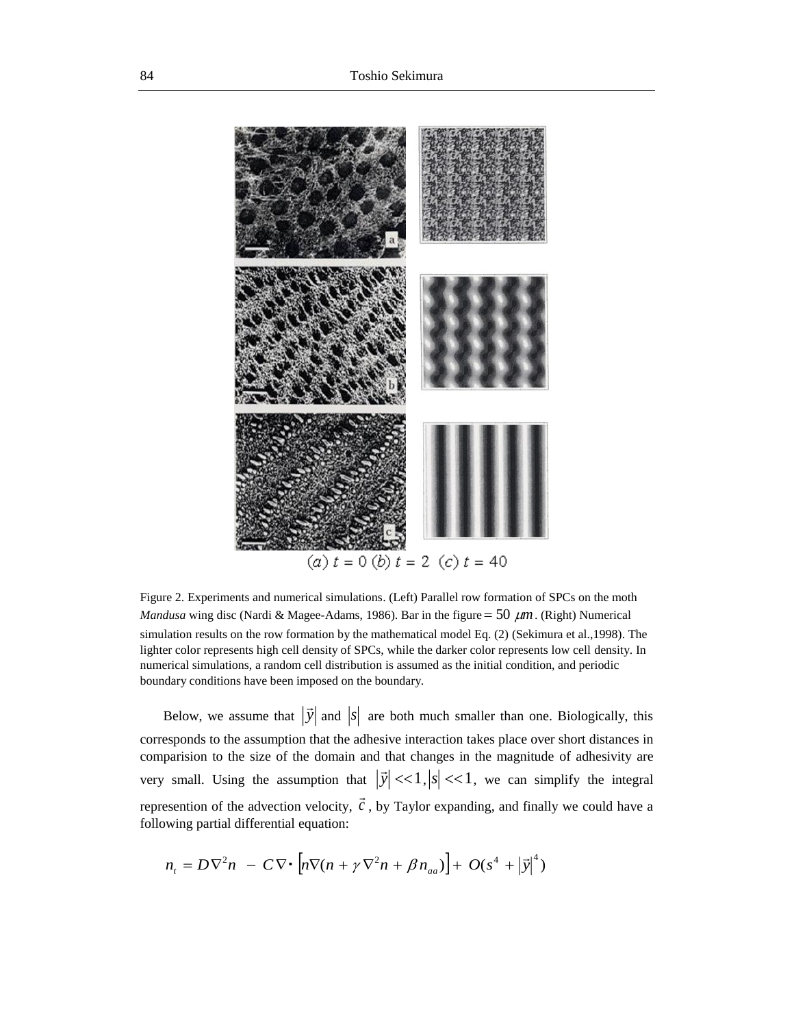

Figure 2. Experiments and numerical simulations. (Left) Parallel row formation of SPCs on the moth *Mandusa* wing disc (Nardi & Magee-Adams, 1986). Bar in the figure =  $50 \ \mu m$ . (Right) Numerical simulation results on the row formation by the mathematical model Eq. (2) (Sekimura et al.,1998). The lighter color represents high cell density of SPCs, while the darker color represents low cell density. In numerical simulations, a random cell distribution is assumed as the initial condition, and periodic boundary conditions have been imposed on the boundary.

Below, we assume that  $|\vec{y}|$  and  $|s|$  are both much smaller than one. Biologically, this corresponds to the assumption that the adhesive interaction takes place over short distances in comparision to the size of the domain and that changes in the magnitude of adhesivity are very small. Using the assumption that  $|\vec{y}| \ll 1, |s| \ll 1$ , we can simplify the integral represention of the advection velocity,  $\vec{c}$ , by Taylor expanding, and finally we could have a following partial differential equation:

$$
n_{t} = D\nabla^{2} n - C\nabla \cdot [n\nabla (n + \gamma \nabla^{2} n + \beta n_{aa})] + O(s^{4} + |\vec{y}|^{4})
$$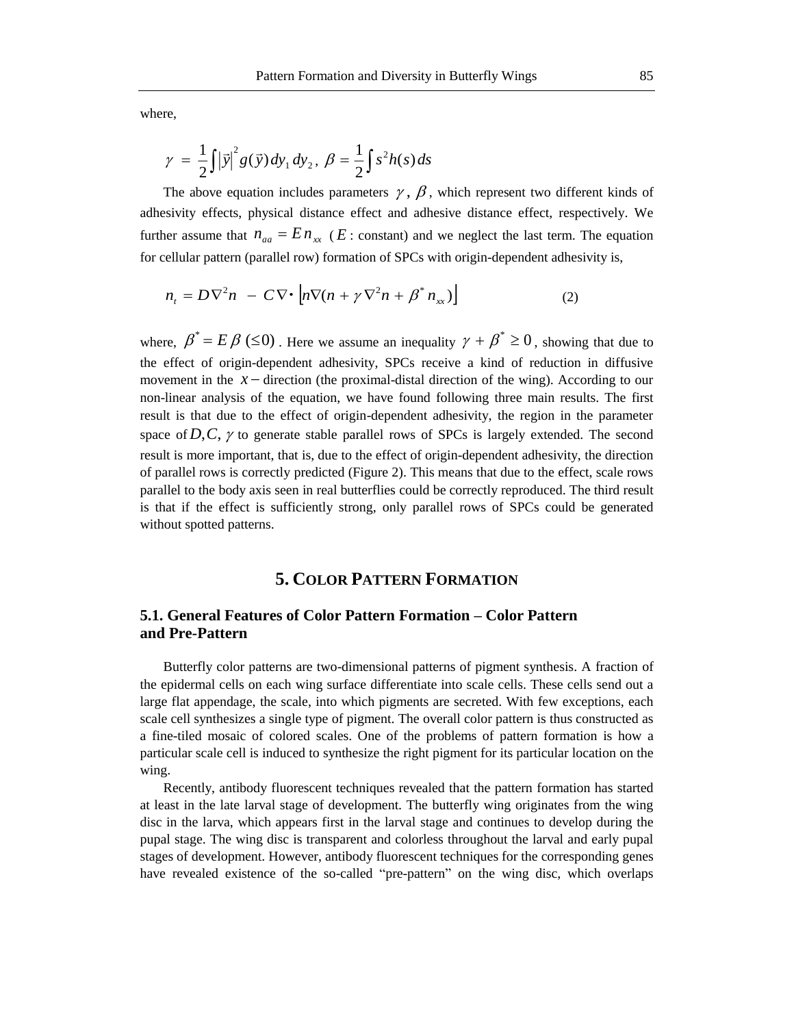where,

$$
\gamma = \frac{1}{2} \iint |\vec{y}|^2 g(\vec{y}) dy_1 dy_2, \ \beta = \frac{1}{2} \int s^2 h(s) ds
$$

The above equation includes parameters  $\gamma$ ,  $\beta$ , which represent two different kinds of adhesivity effects, physical distance effect and adhesive distance effect, respectively. We further assume that  $n_{aa} = E n_{xx}$  (*E*: constant) and we neglect the last term. The equation for cellular pattern (parallel row) formation of SPCs with origin-dependent adhesivity is,

$$
n_{t} = D\nabla^{2} n - C\nabla \cdot \left[ n\nabla (n + \gamma \nabla^{2} n + \beta^{*} n_{xx}) \right]
$$
 (2)

where,  $\beta^* = E \beta$  ( $\leq 0$ ). Here we assume an inequality  $\gamma + \beta^* \geq 0$ , showing that due to the effect of origin-dependent adhesivity, SPCs receive a kind of reduction in diffusive movement in the  $x$  – direction (the proximal-distal direction of the wing). According to our non-linear analysis of the equation, we have found following three main results. The first result is that due to the effect of origin-dependent adhesivity, the region in the parameter space of  $D, C, \gamma$  to generate stable parallel rows of SPCs is largely extended. The second result is more important, that is, due to the effect of origin-dependent adhesivity, the direction of parallel rows is correctly predicted (Figure 2). This means that due to the effect, scale rows parallel to the body axis seen in real butterflies could be correctly reproduced. The third result is that if the effect is sufficiently strong, only parallel rows of SPCs could be generated without spotted patterns.

## **5. COLOR PATTERN FORMATION**

### **5.1. General Features of Color Pattern Formation – Color Pattern and Pre-Pattern**

Butterfly color patterns are two-dimensional patterns of pigment synthesis. A fraction of the epidermal cells on each wing surface differentiate into scale cells. These cells send out a large flat appendage, the scale, into which pigments are secreted. With few exceptions, each scale cell synthesizes a single type of pigment. The overall color pattern is thus constructed as a fine-tiled mosaic of colored scales. One of the problems of pattern formation is how a particular scale cell is induced to synthesize the right pigment for its particular location on the wing.

Recently, antibody fluorescent techniques revealed that the pattern formation has started at least in the late larval stage of development. The butterfly wing originates from the wing disc in the larva, which appears first in the larval stage and continues to develop during the pupal stage. The wing disc is transparent and colorless throughout the larval and early pupal stages of development. However, antibody fluorescent techniques for the corresponding genes have revealed existence of the so-called "pre-pattern" on the wing disc, which overlaps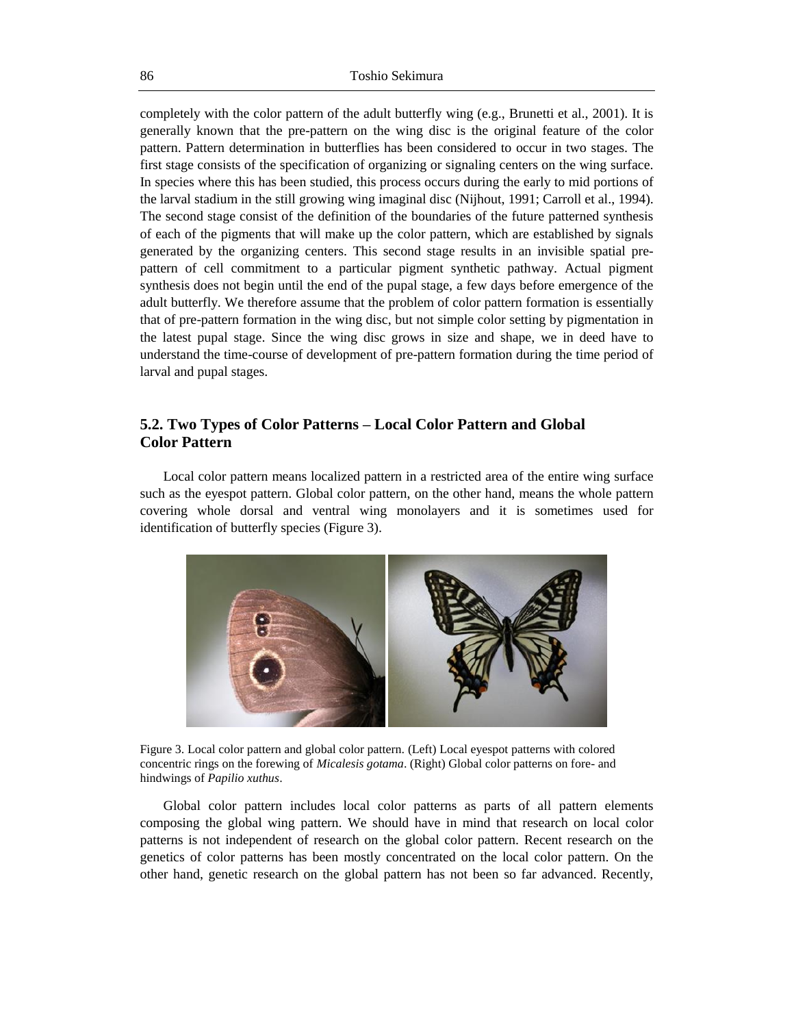completely with the color pattern of the adult butterfly wing (e.g., Brunetti et al., 2001). It is generally known that the pre-pattern on the wing disc is the original feature of the color pattern. Pattern determination in butterflies has been considered to occur in two stages. The first stage consists of the specification of organizing or signaling centers on the wing surface. In species where this has been studied, this process occurs during the early to mid portions of the larval stadium in the still growing wing imaginal disc (Nijhout, 1991; Carroll et al., 1994). The second stage consist of the definition of the boundaries of the future patterned synthesis of each of the pigments that will make up the color pattern, which are established by signals generated by the organizing centers. This second stage results in an invisible spatial prepattern of cell commitment to a particular pigment synthetic pathway. Actual pigment synthesis does not begin until the end of the pupal stage, a few days before emergence of the adult butterfly. We therefore assume that the problem of color pattern formation is essentially that of pre-pattern formation in the wing disc, but not simple color setting by pigmentation in the latest pupal stage. Since the wing disc grows in size and shape, we in deed have to understand the time-course of development of pre-pattern formation during the time period of larval and pupal stages.

### **5.2. Two Types of Color Patterns – Local Color Pattern and Global Color Pattern**

Local color pattern means localized pattern in a restricted area of the entire wing surface such as the eyespot pattern. Global color pattern, on the other hand, means the whole pattern covering whole dorsal and ventral wing monolayers and it is sometimes used for identification of butterfly species (Figure 3).



Figure 3. Local color pattern and global color pattern. (Left) Local eyespot patterns with colored concentric rings on the forewing of *Micalesis gotama*. (Right) Global color patterns on fore- and hindwings of *Papilio xuthus*.

Global color pattern includes local color patterns as parts of all pattern elements composing the global wing pattern. We should have in mind that research on local color patterns is not independent of research on the global color pattern. Recent research on the genetics of color patterns has been mostly concentrated on the local color pattern. On the other hand, genetic research on the global pattern has not been so far advanced. Recently,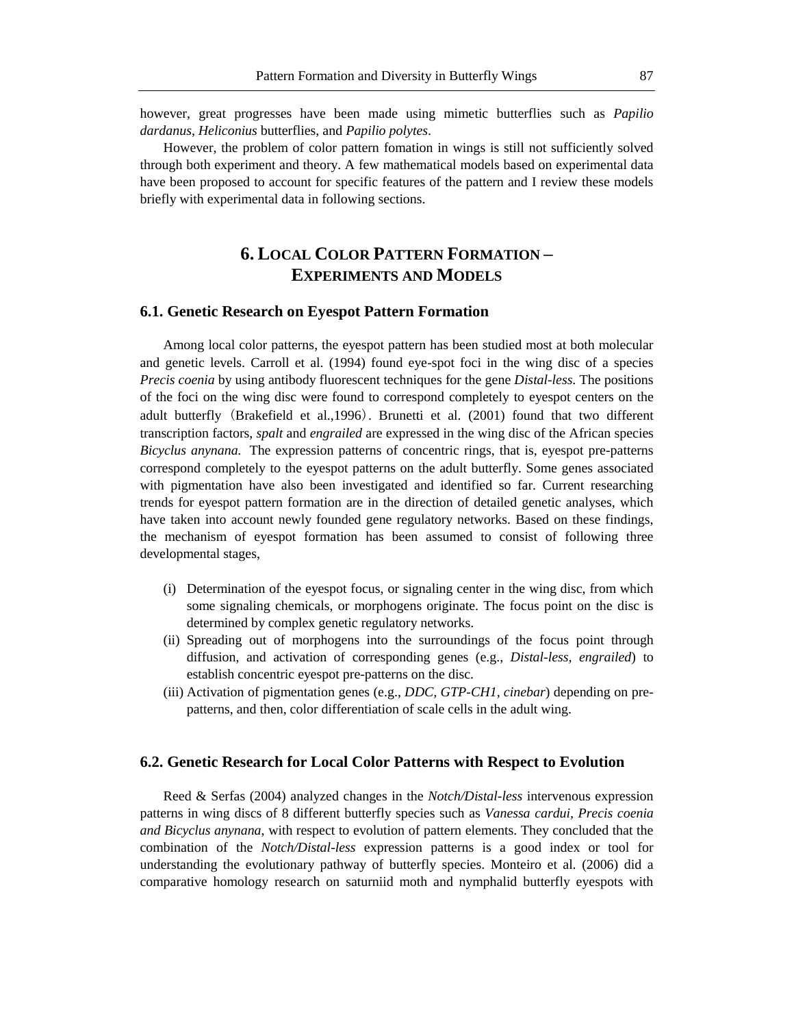however, great progresses have been made using mimetic butterflies such as *Papilio dardanus*, *Heliconius* butterflies, and *Papilio polytes*.

However, the problem of color pattern fomation in wings is still not sufficiently solved through both experiment and theory. A few mathematical models based on experimental data have been proposed to account for specific features of the pattern and I review these models briefly with experimental data in following sections.

## **6. LOCAL COLOR PATTERN FORMATION – EXPERIMENTS AND MODELS**

#### **6.1. Genetic Research on Eyespot Pattern Formation**

Among local color patterns, the eyespot pattern has been studied most at both molecular and genetic levels. Carroll et al. (1994) found eye-spot foci in the wing disc of a species *Precis coenia* by using antibody fluorescent techniques for the gene *Distal-less*. The positions of the foci on the wing disc were found to correspond completely to eyespot centers on the adult butterfly (Brakefield et al.,1996). Brunetti et al. (2001) found that two different transcription factors, *spalt* and *engrailed* are expressed in the wing disc of the African species *Bicyclus anynana.* The expression patterns of concentric rings, that is, eyespot pre-patterns correspond completely to the eyespot patterns on the adult butterfly. Some genes associated with pigmentation have also been investigated and identified so far. Current researching trends for eyespot pattern formation are in the direction of detailed genetic analyses, which have taken into account newly founded gene regulatory networks. Based on these findings, the mechanism of eyespot formation has been assumed to consist of following three developmental stages,

- (i) Determination of the eyespot focus, or signaling center in the wing disc, from which some signaling chemicals, or morphogens originate. The focus point on the disc is determined by complex genetic regulatory networks.
- (ii) Spreading out of morphogens into the surroundings of the focus point through diffusion, and activation of corresponding genes (e.g., *Distal-less, engrailed*) to establish concentric eyespot pre-patterns on the disc.
- (iii) Activation of pigmentation genes (e.g., *DDC, GTP-CH1, cinebar*) depending on prepatterns, and then, color differentiation of scale cells in the adult wing.

#### **6.2. Genetic Research for Local Color Patterns with Respect to Evolution**

Reed & Serfas (2004) analyzed changes in the *Notch/Distal-less* intervenous expression patterns in wing discs of 8 different butterfly species such as *Vanessa cardui, Precis coenia and Bicyclus anynana*, with respect to evolution of pattern elements. They concluded that the combination of the *Notch/Distal-less* expression patterns is a good index or tool for understanding the evolutionary pathway of butterfly species. Monteiro et al. (2006) did a comparative homology research on saturniid moth and nymphalid butterfly eyespots with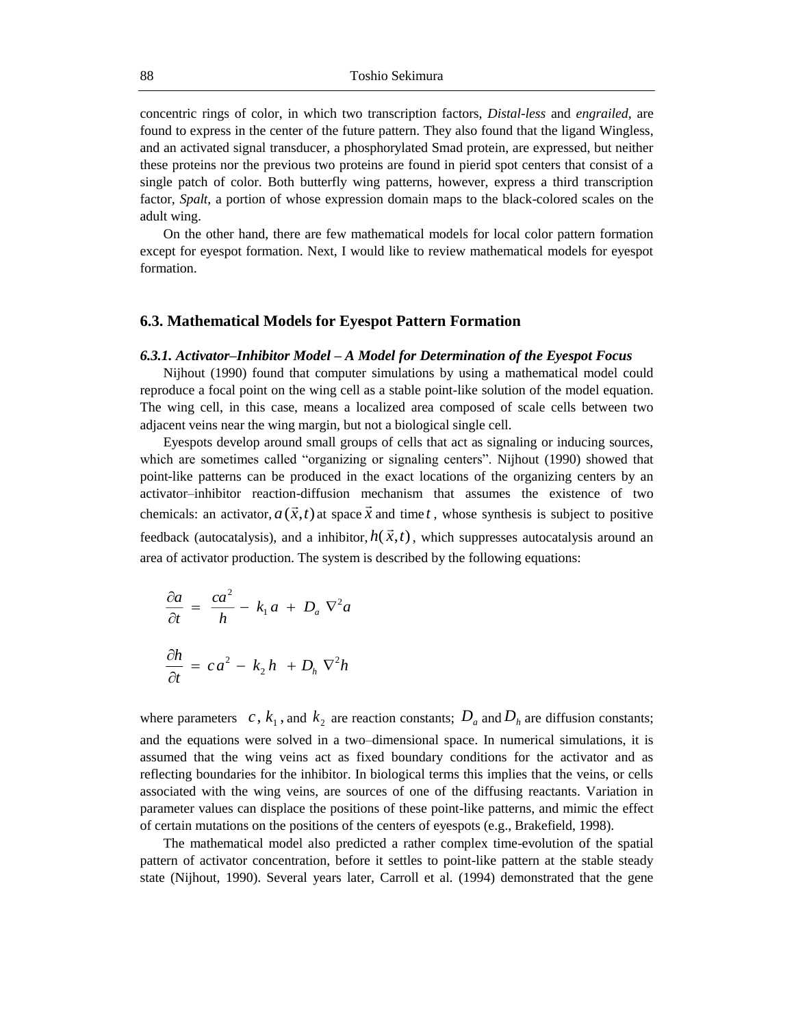concentric rings of color, in which two transcription factors, *Distal-less* and *engrailed*, are found to express in the center of the future pattern. They also found that the ligand Wingless, and an activated signal transducer, a phosphorylated Smad protein, are expressed, but neither these proteins nor the previous two proteins are found in pierid spot centers that consist of a single patch of color. Both butterfly wing patterns, however, express a third transcription factor, *Spalt*, a portion of whose expression domain maps to the black-colored scales on the adult wing.

On the other hand, there are few mathematical models for local color pattern formation except for eyespot formation. Next, I would like to review mathematical models for eyespot formation.

#### **6.3. Mathematical Models for Eyespot Pattern Formation**

#### *6.3.1. Activator–Inhibitor Model – A Model for Determination of the Eyespot Focus*

Nijhout (1990) found that computer simulations by using a mathematical model could reproduce a focal point on the wing cell as a stable point-like solution of the model equation. The wing cell, in this case, means a localized area composed of scale cells between two adjacent veins near the wing margin, but not a biological single cell.

Eyespots develop around small groups of cells that act as signaling or inducing sources, which are sometimes called "organizing or signaling centers". Nijhout (1990) showed that point-like patterns can be produced in the exact locations of the organizing centers by an activator–inhibitor reaction-diffusion mechanism that assumes the existence of two chemicals: an activator,  $a(\vec{x},t)$  at space  $\vec{x}$  and time t, whose synthesis is subject to positive feedback (autocatalysis), and a inhibitor,  $h(\vec{x},t)$ , which suppresses autocatalysis around an *h*<sup>{</sup> *n*} area of activator production. The system is described by the following equations:

$$
\frac{\partial a}{\partial t} = \frac{ca^2}{h} - k_1 a + D_a \nabla^2 a
$$

$$
\frac{\partial h}{\partial t} = ca^2 - k_2 h + D_h \nabla^2 h
$$

where parameters c,  $k_1$ , and  $k_2$  are reaction constants;  $D_a$  and  $D_h$  are diffusion constants; and the equations were solved in a two–dimensional space. In numerical simulations, it is assumed that the wing veins act as fixed boundary conditions for the activator and as reflecting boundaries for the inhibitor. In biological terms this implies that the veins, or cells associated with the wing veins, are sources of one of the diffusing reactants. Variation in parameter values can displace the positions of these point-like patterns, and mimic the effect of certain mutations on the positions of the centers of eyespots (e.g., Brakefield, 1998).

The mathematical model also predicted a rather complex time-evolution of the spatial pattern of activator concentration, before it settles to point-like pattern at the stable steady state (Nijhout, 1990). Several years later, Carroll et al. (1994) demonstrated that the gene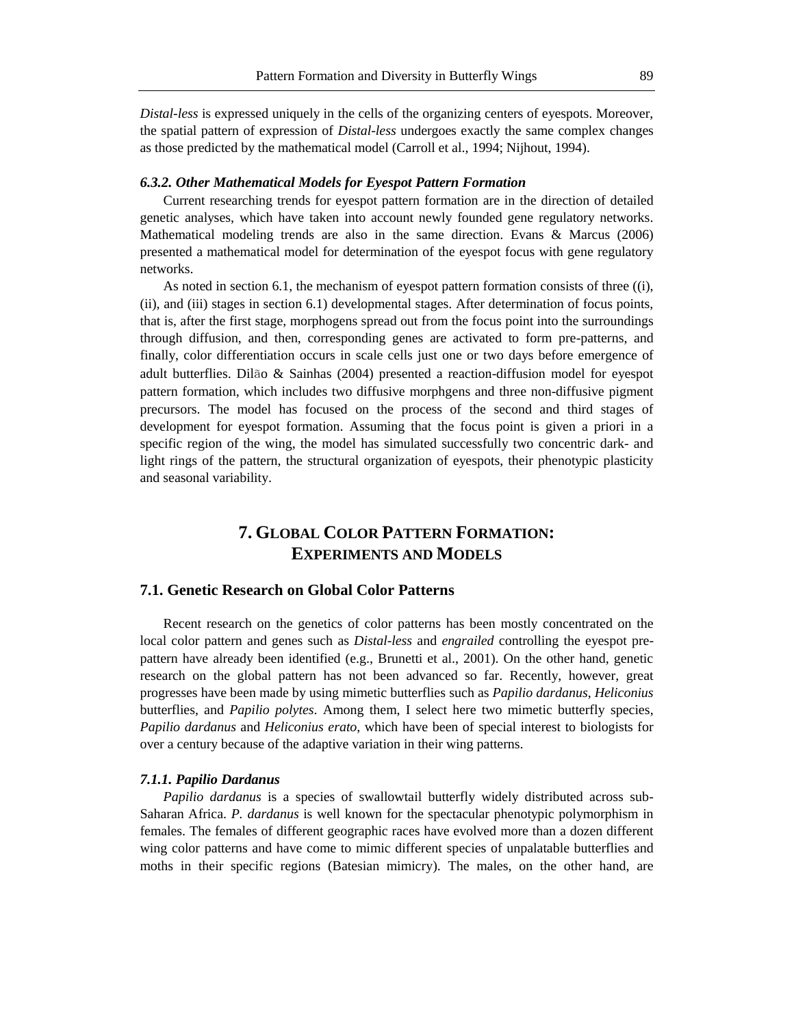*Distal-less* is expressed uniquely in the cells of the organizing centers of eyespots. Moreover, the spatial pattern of expression of *Distal-less* undergoes exactly the same complex changes as those predicted by the mathematical model (Carroll et al., 1994; Nijhout, 1994).

#### *6.3.2. Other Mathematical Models for Eyespot Pattern Formation*

Current researching trends for eyespot pattern formation are in the direction of detailed genetic analyses, which have taken into account newly founded gene regulatory networks. Mathematical modeling trends are also in the same direction. Evans & Marcus (2006) presented a mathematical model for determination of the eyespot focus with gene regulatory networks.

As noted in section 6.1, the mechanism of eyespot pattern formation consists of three ((i), (ii), and (iii) stages in section 6.1) developmental stages. After determination of focus points, that is, after the first stage, morphogens spread out from the focus point into the surroundings through diffusion, and then, corresponding genes are activated to form pre-patterns, and finally, color differentiation occurs in scale cells just one or two days before emergence of adult butterflies. Dilão & Sainhas (2004) presented a reaction-diffusion model for eyespot pattern formation, which includes two diffusive morphgens and three non-diffusive pigment precursors. The model has focused on the process of the second and third stages of development for eyespot formation. Assuming that the focus point is given a priori in a specific region of the wing, the model has simulated successfully two concentric dark- and light rings of the pattern, the structural organization of eyespots, their phenotypic plasticity and seasonal variability.

## **7. GLOBAL COLOR PATTERN FORMATION: EXPERIMENTS AND MODELS**

#### **7.1. Genetic Research on Global Color Patterns**

Recent research on the genetics of color patterns has been mostly concentrated on the local color pattern and genes such as *Distal-less* and *engrailed* controlling the eyespot prepattern have already been identified (e.g., Brunetti et al., 2001). On the other hand, genetic research on the global pattern has not been advanced so far. Recently, however, great progresses have been made by using mimetic butterflies such as *Papilio dardanus*, *Heliconius* butterflies, and *Papilio polytes*. Among them, I select here two mimetic butterfly species, *Papilio dardanus* and *Heliconius erato*, which have been of special interest to biologists for over a century because of the adaptive variation in their wing patterns.

#### *7.1.1. Papilio Dardanus*

*Papilio dardanus* is a species of swallowtail butterfly widely distributed across sub-Saharan Africa. *P. dardanus* is well known for the spectacular phenotypic polymorphism in females. The females of different geographic races have evolved more than a dozen different wing color patterns and have come to mimic different species of unpalatable butterflies and moths in their specific regions (Batesian mimicry). The males, on the other hand, are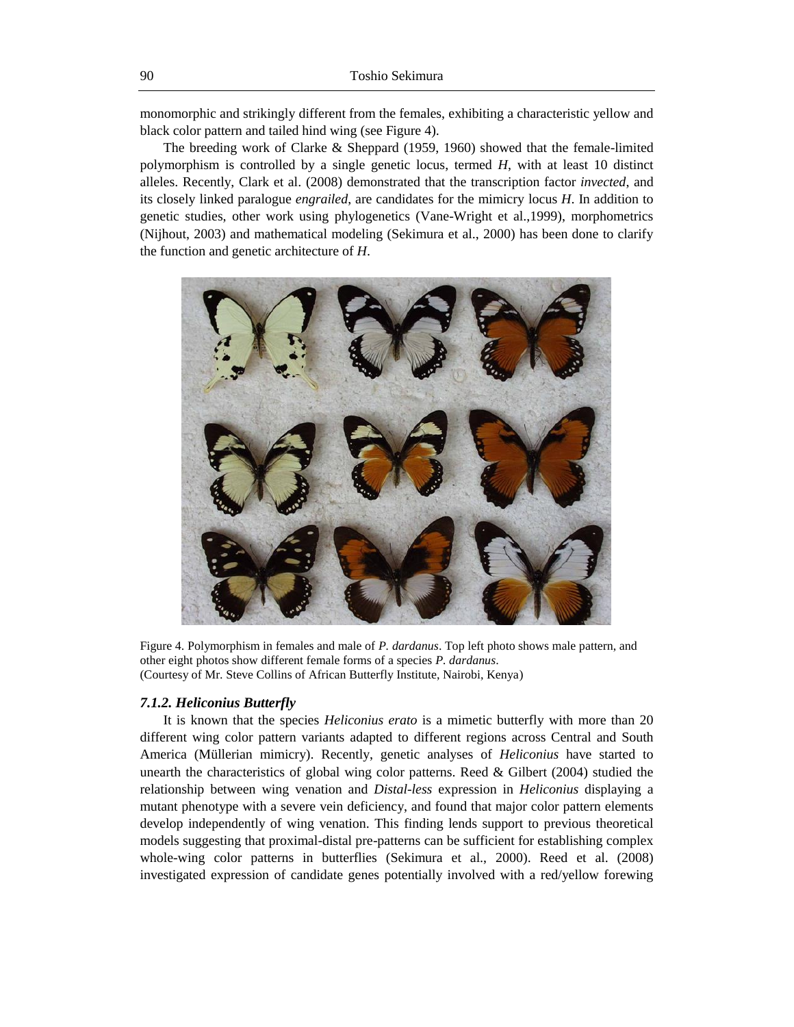monomorphic and strikingly different from the females, exhibiting a characteristic yellow and black color pattern and tailed hind wing (see Figure 4).

The breeding work of Clarke & Sheppard (1959, 1960) showed that the female-limited polymorphism is controlled by a single genetic locus, termed *H*, with at least 10 distinct alleles. Recently, Clark et al. (2008) demonstrated that the transcription factor *invected*, and its closely linked paralogue *engrailed*, are candidates for the mimicry locus *H*. In addition to genetic studies, other work using phylogenetics (Vane-Wright et al.,1999), morphometrics (Nijhout, 2003) and mathematical modeling (Sekimura et al., 2000) has been done to clarify the function and genetic architecture of *H*.



Figure 4. Polymorphism in females and male of *P. dardanus*. Top left photo shows male pattern, and other eight photos show different female forms of a species *P. dardanus*. (Courtesy of Mr. Steve Collins of African Butterfly Institute, Nairobi, Kenya)

#### *7.1.2. Heliconius Butterfly*

It is known that the species *Heliconius erato* is a mimetic butterfly with more than 20 different wing color pattern variants adapted to different regions across Central and South America (Müllerian mimicry). Recently, genetic analyses of *Heliconius* have started to unearth the characteristics of global wing color patterns. Reed  $\&$  Gilbert (2004) studied the relationship between wing venation and *Distal-less* expression in *Heliconius* displaying a mutant phenotype with a severe vein deficiency, and found that major color pattern elements develop independently of wing venation. This finding lends support to previous theoretical models suggesting that proximal-distal pre-patterns can be sufficient for establishing complex whole-wing color patterns in butterflies (Sekimura et al., 2000). Reed et al. (2008) investigated expression of candidate genes potentially involved with a red/yellow forewing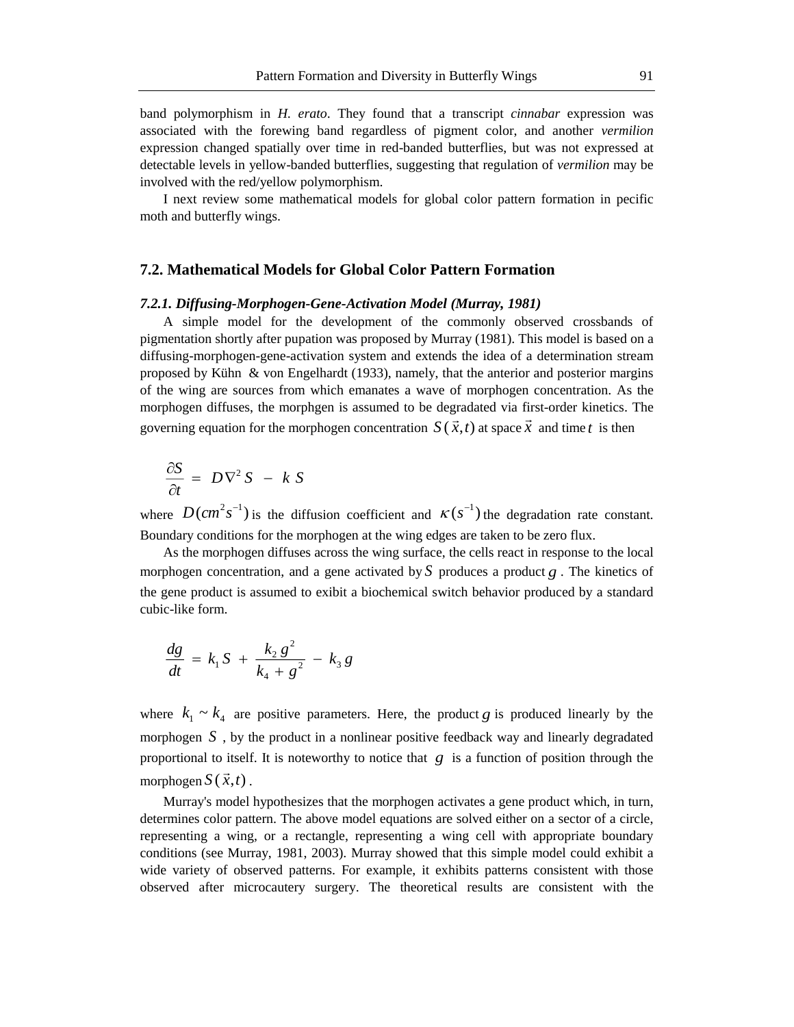band polymorphism in *H. erato*. They found that a transcript *cinnabar* expression was associated with the forewing band regardless of pigment color, and another *vermilion* expression changed spatially over time in red-banded butterflies, but was not expressed at detectable levels in yellow-banded butterflies, suggesting that regulation of *vermilion* may be involved with the red/yellow polymorphism.

I next review some mathematical models for global color pattern formation in pecific moth and butterfly wings.

### **7.2. Mathematical Models for Global Color Pattern Formation**

#### *7.2.1. Diffusing-Morphogen-Gene-Activation Model (Murray, 1981)*

A simple model for the development of the commonly observed crossbands of pigmentation shortly after pupation was proposed by Murray (1981). This model is based on a diffusing-morphogen-gene-activation system and extends the idea of a determination stream proposed by Kühn & von Engelhardt (1933), namely, that the anterior and posterior margins of the wing are sources from which emanates a wave of morphogen concentration. As the morphogen diffuses, the morphgen is assumed to be degradated via first-order kinetics. The governing equation for the morphogen concentration  $S(\vec{x},t)$  at space  $\vec{x}$  and time t is then .⊔<br>... *t*

$$
\frac{\partial S}{\partial t} = D \nabla^2 S - k S
$$

where  $D(cm^2 s^{-1})$  is the diffusion coefficient and  $\kappa(s^{-1})$  the degradation rate constant. Boundary conditions for the morphogen at the wing edges are taken to be zero flux.

As the morphogen diffuses across the wing surface, the cells react in response to the local morphogen concentration, and a gene activated by S produces a product  $g$ . The kinetics of the gene product is assumed to exibit a biochemical switch behavior produced by a standard cubic-like form.

$$
\frac{dg}{dt} = k_1 S + \frac{k_2 g^2}{k_4 + g^2} - k_3 g
$$

where  $k_1 \sim k_4$  are positive parameters. Here, the product g is produced linearly by the morphogen  $S$ , by the product in a nonlinear positive feedback way and linearly degradated proportional to itself. It is noteworthy to notice that  $g$  is a function of position through the morphogen  $S(\vec{x},t)$ .

Murray's model hypothesizes that the morphogen activates a gene product which, in turn, determines color pattern. The above model equations are solved either on a sector of a circle, representing a wing, or a rectangle, representing a wing cell with appropriate boundary conditions (see Murray, 1981, 2003). Murray showed that this simple model could exhibit a wide variety of observed patterns. For example, it exhibits patterns consistent with those observed after microcautery surgery. The theoretical results are consistent with the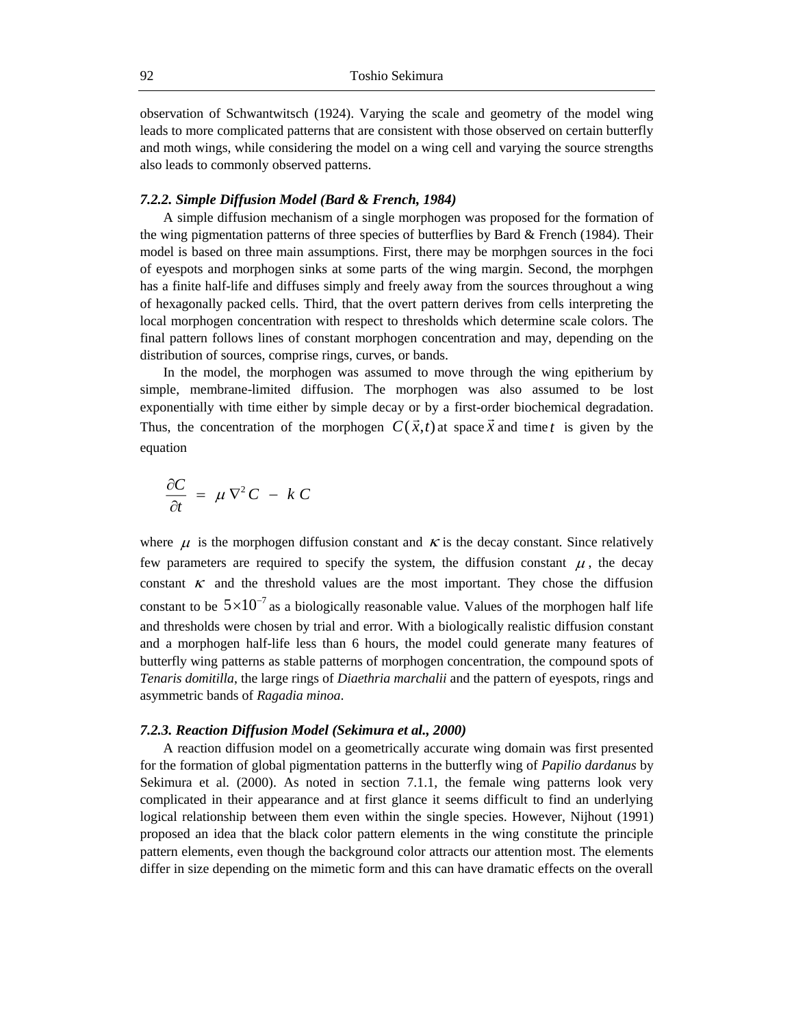observation of Schwantwitsch (1924). Varying the scale and geometry of the model wing leads to more complicated patterns that are consistent with those observed on certain butterfly and moth wings, while considering the model on a wing cell and varying the source strengths also leads to commonly observed patterns.

#### *7.2.2. Simple Diffusion Model (Bard & French, 1984)*

A simple diffusion mechanism of a single morphogen was proposed for the formation of the wing pigmentation patterns of three species of butterflies by Bard & French (1984). Their model is based on three main assumptions. First, there may be morphgen sources in the foci of eyespots and morphogen sinks at some parts of the wing margin. Second, the morphgen has a finite half-life and diffuses simply and freely away from the sources throughout a wing of hexagonally packed cells. Third, that the overt pattern derives from cells interpreting the local morphogen concentration with respect to thresholds which determine scale colors. The final pattern follows lines of constant morphogen concentration and may, depending on the distribution of sources, comprise rings, curves, or bands.

In the model, the morphogen was assumed to move through the wing epitherium by simple, membrane-limited diffusion. The morphogen was also assumed to be lost exponentially with time either by simple decay or by a first-order biochemical degradation. Thus, the concentration of the morphogen  $C(\vec{x},t)$  at space  $\vec{x}$  and time t is given by the equation

$$
\frac{\partial C}{\partial t} = \mu \nabla^2 C - k C
$$

where  $\mu$  is the morphogen diffusion constant and  $\kappa$  is the decay constant. Since relatively few parameters are required to specify the system, the diffusion constant  $\mu$ , the decay constant  $\kappa$  and the threshold values are the most important. They chose the diffusion constant to be  $5\times 10^{-7}$  as a biologically reasonable value. Values of the morphogen half life and thresholds were chosen by trial and error. With a biologically realistic diffusion constant and a morphogen half-life less than 6 hours, the model could generate many features of butterfly wing patterns as stable patterns of morphogen concentration, the compound spots of *Tenaris domitilla*, the large rings of *Diaethria marchalii* and the pattern of eyespots, rings and asymmetric bands of *Ragadia minoa*.

#### *7.2.3. Reaction Diffusion Model (Sekimura et al., 2000)*

A reaction diffusion model on a geometrically accurate wing domain was first presented for the formation of global pigmentation patterns in the butterfly wing of *Papilio dardanus* by Sekimura et al. (2000). As noted in section 7.1.1, the female wing patterns look very complicated in their appearance and at first glance it seems difficult to find an underlying logical relationship between them even within the single species. However, Nijhout (1991) proposed an idea that the black color pattern elements in the wing constitute the principle pattern elements, even though the background color attracts our attention most. The elements differ in size depending on the mimetic form and this can have dramatic effects on the overall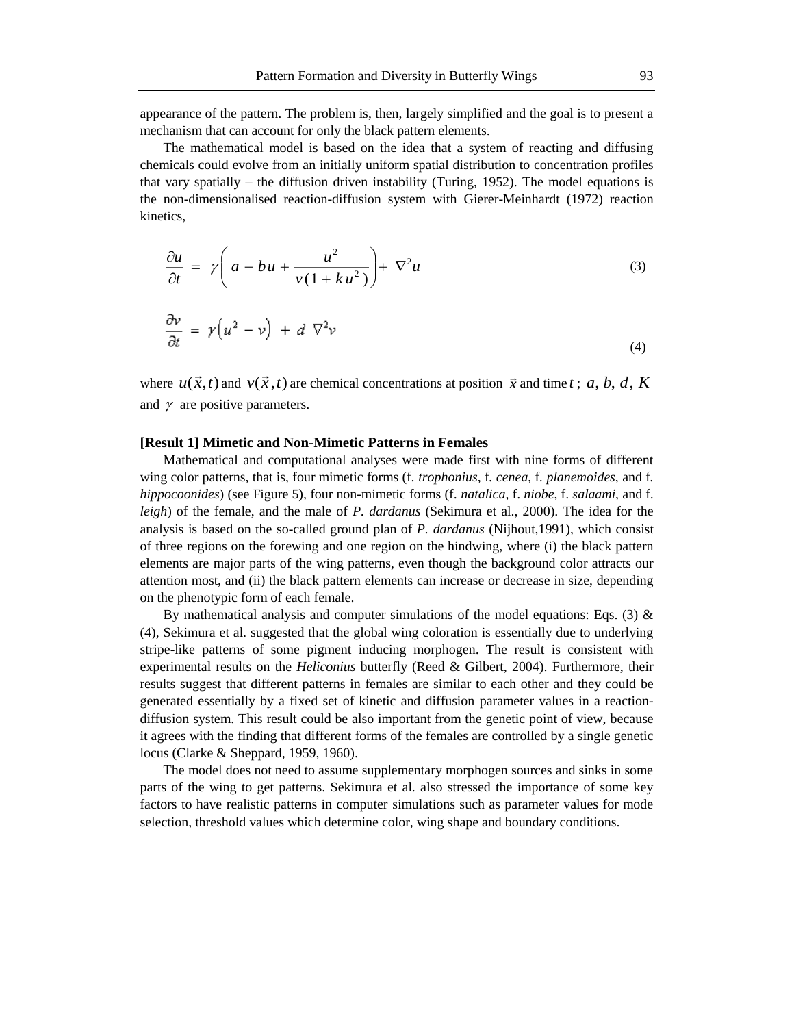appearance of the pattern. The problem is, then, largely simplified and the goal is to present a mechanism that can account for only the black pattern elements.

The mathematical model is based on the idea that a system of reacting and diffusing chemicals could evolve from an initially uniform spatial distribution to concentration profiles that vary spatially – the diffusion driven instability (Turing, 1952). The model equations is the non-dimensionalised reaction-diffusion system with Gierer-Meinhardt (1972) reaction kinetics,

$$
\frac{\partial u}{\partial t} = \gamma \left( a - bu + \frac{u^2}{v(1 + ku^2)} \right) + \nabla^2 u \tag{3}
$$

$$
\frac{\partial v}{\partial t} = \gamma \Big( u^2 - v \Big) + d \nabla^2 v \tag{4}
$$

where  $u(\vec{x},t)$  and  $v(\vec{x},t)$  are chemical concentrations at position  $\vec{x}$  and time t; a, b, d, K and  $\gamma$  are positive parameters.

#### **[Result 1] Mimetic and Non-Mimetic Patterns in Females**

Mathematical and computational analyses were made first with nine forms of different wing color patterns, that is, four mimetic forms (f*. trophonius*, f*. cenea*, f*. planemoides*, and f*. hippocoonides*) (see Figure 5)*,* four non-mimetic forms (f. *natalica*, f. *niobe*, f. *salaami*, and f. *leigh*) of the female, and the male of *P. dardanus* (Sekimura et al., 2000). The idea for the analysis is based on the so-called ground plan of *P. dardanus* (Nijhout,1991), which consist of three regions on the forewing and one region on the hindwing, where (i) the black pattern elements are major parts of the wing patterns, even though the background color attracts our attention most, and (ii) the black pattern elements can increase or decrease in size, depending on the phenotypic form of each female.

By mathematical analysis and computer simulations of the model equations: Eqs. (3)  $\&$ (4), Sekimura et al. suggested that the global wing coloration is essentially due to underlying stripe-like patterns of some pigment inducing morphogen. The result is consistent with experimental results on the *Heliconius* butterfly (Reed & Gilbert, 2004). Furthermore, their results suggest that different patterns in females are similar to each other and they could be generated essentially by a fixed set of kinetic and diffusion parameter values in a reactiondiffusion system. This result could be also important from the genetic point of view, because it agrees with the finding that different forms of the females are controlled by a single genetic locus (Clarke & Sheppard, 1959, 1960).

The model does not need to assume supplementary morphogen sources and sinks in some parts of the wing to get patterns. Sekimura et al. also stressed the importance of some key factors to have realistic patterns in computer simulations such as parameter values for mode selection, threshold values which determine color, wing shape and boundary conditions.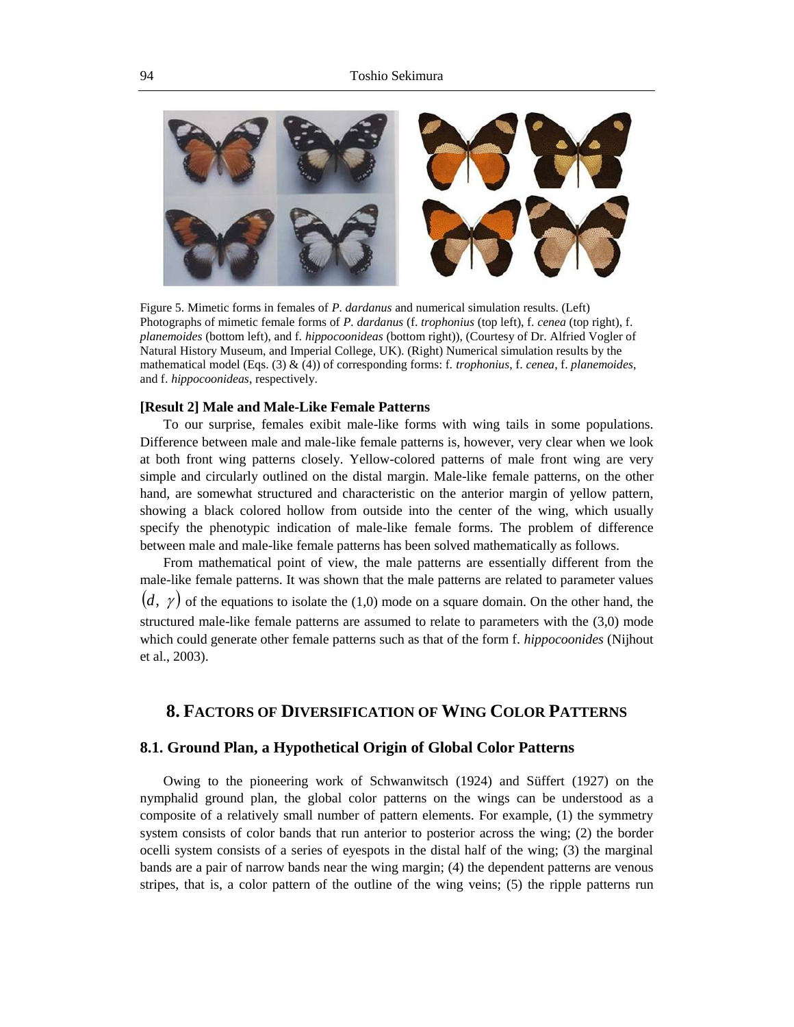

Figure 5. Mimetic forms in females of *P. dardanus* and numerical simulation results. (Left) Photographs of mimetic female forms of *P. dardanus* (f. *trophonius* (top left), f. *cenea* (top right), f. *planemoides* (bottom left), and f. *hippocoonideas* (bottom right)), (Courtesy of Dr. Alfried Vogler of Natural History Museum, and Imperial College, UK). (Right) Numerical simulation results by the mathematical model (Eqs. (3) & (4)) of corresponding forms: f. *trophonius*, f. *cenea*, f. *planemoides*, and f. *hippocoonideas*, respectively.

#### **[Result 2] Male and Male-Like Female Patterns**

To our surprise, females exibit male-like forms with wing tails in some populations. Difference between male and male-like female patterns is, however, very clear when we look at both front wing patterns closely. Yellow-colored patterns of male front wing are very simple and circularly outlined on the distal margin. Male-like female patterns, on the other hand, are somewhat structured and characteristic on the anterior margin of yellow pattern, showing a black colored hollow from outside into the center of the wing, which usually specify the phenotypic indication of male-like female forms. The problem of difference between male and male-like female patterns has been solved mathematically as follows.

From mathematical point of view, the male patterns are essentially different from the male-like female patterns. It was shown that the male patterns are related to parameter values  $(d, \gamma)$  of the equations to isolate the (1,0) mode on a square domain. On the other hand, the structured male-like female patterns are assumed to relate to parameters with the (3,0) mode which could generate other female patterns such as that of the form f. *hippocoonides* (Nijhout et al., 2003).

## **8. FACTORS OF DIVERSIFICATION OF WING COLOR PATTERNS**

#### **8.1. Ground Plan, a Hypothetical Origin of Global Color Patterns**

Owing to the pioneering work of Schwanwitsch (1924) and Süffert (1927) on the nymphalid ground plan, the global color patterns on the wings can be understood as a composite of a relatively small number of pattern elements. For example, (1) the symmetry system consists of color bands that run anterior to posterior across the wing; (2) the border ocelli system consists of a series of eyespots in the distal half of the wing; (3) the marginal bands are a pair of narrow bands near the wing margin; (4) the dependent patterns are venous stripes, that is, a color pattern of the outline of the wing veins; (5) the ripple patterns run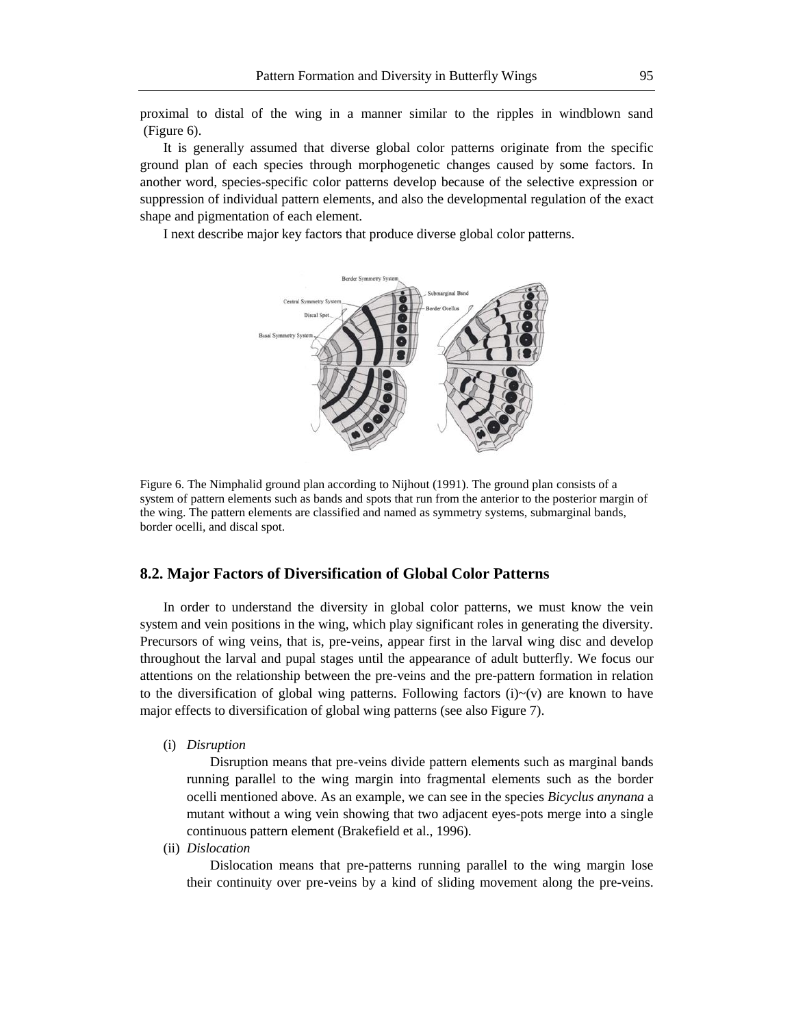proximal to distal of the wing in a manner similar to the ripples in windblown sand (Figure 6).

It is generally assumed that diverse global color patterns originate from the specific ground plan of each species through morphogenetic changes caused by some factors. In another word, species-specific color patterns develop because of the selective expression or suppression of individual pattern elements, and also the developmental regulation of the exact shape and pigmentation of each element.

I next describe major key factors that produce diverse global color patterns.



Figure 6. The Nimphalid ground plan according to Nijhout (1991). The ground plan consists of a system of pattern elements such as bands and spots that run from the anterior to the posterior margin of the wing. The pattern elements are classified and named as symmetry systems, submarginal bands, border ocelli, and discal spot.

#### **8.2. Major Factors of Diversification of Global Color Patterns**

In order to understand the diversity in global color patterns, we must know the vein system and vein positions in the wing, which play significant roles in generating the diversity. Precursors of wing veins, that is, pre-veins, appear first in the larval wing disc and develop throughout the larval and pupal stages until the appearance of adult butterfly. We focus our attentions on the relationship between the pre-veins and the pre-pattern formation in relation to the diversification of global wing patterns. Following factors  $(i) \sim (v)$  are known to have major effects to diversification of global wing patterns (see also Figure 7).

(i) *Disruption*

Disruption means that pre-veins divide pattern elements such as marginal bands running parallel to the wing margin into fragmental elements such as the border ocelli mentioned above. As an example, we can see in the species *Bicyclus anynana* a mutant without a wing vein showing that two adjacent eyes-pots merge into a single continuous pattern element (Brakefield et al., 1996).

(ii) *Dislocation*

Dislocation means that pre-patterns running parallel to the wing margin lose their continuity over pre-veins by a kind of sliding movement along the pre-veins.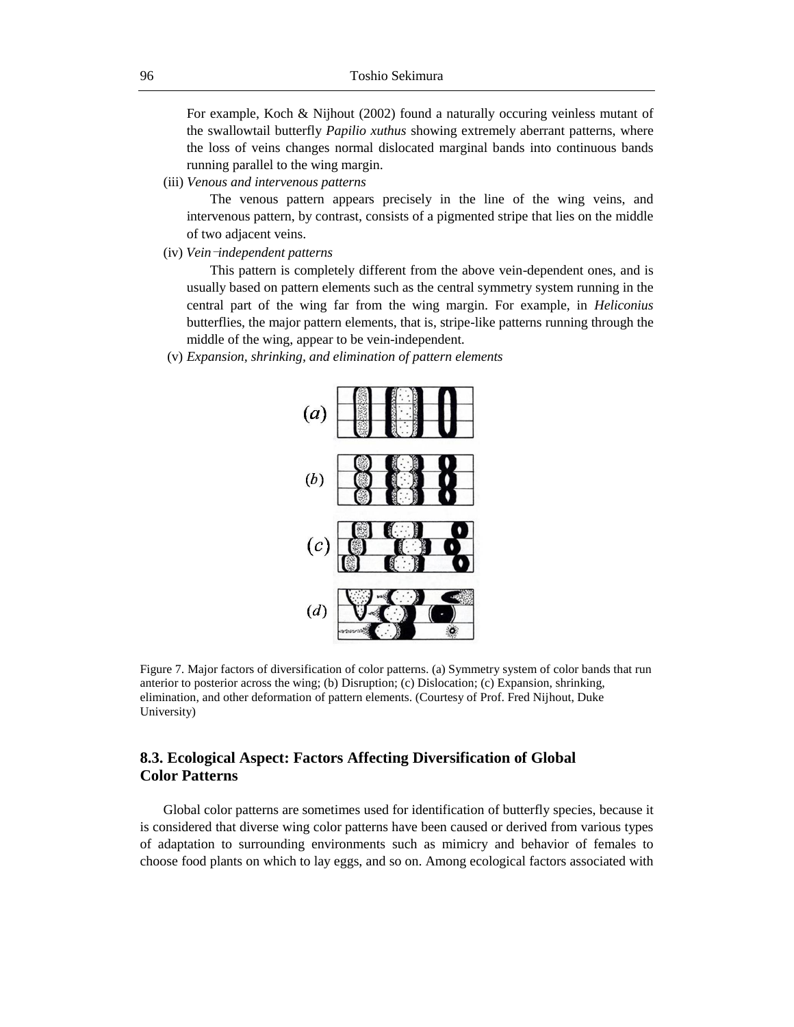For example, Koch & Nijhout (2002) found a naturally occuring veinless mutant of the swallowtail butterfly *Papilio xuthus* showing extremely aberrant patterns, where the loss of veins changes normal dislocated marginal bands into continuous bands running parallel to the wing margin.

(iii) *Venous and intervenous patterns*

The venous pattern appears precisely in the line of the wing veins, and intervenous pattern, by contrast, consists of a pigmented stripe that lies on the middle of two adjacent veins.

(iv) *Veinindependent patterns*

This pattern is completely different from the above vein-dependent ones, and is usually based on pattern elements such as the central symmetry system running in the central part of the wing far from the wing margin. For example, in *Heliconius* butterflies, the major pattern elements, that is, stripe-like patterns running through the middle of the wing, appear to be vein-independent.

(v) *Expansion, shrinking, and elimination of pattern elements*



Figure 7. Major factors of diversification of color patterns. (a) Symmetry system of color bands that run anterior to posterior across the wing; (b) Disruption; (c) Dislocation; (c) Expansion, shrinking, elimination, and other deformation of pattern elements. (Courtesy of Prof. Fred Nijhout, Duke University)

## **8.3. Ecological Aspect: Factors Affecting Diversification of Global Color Patterns**

Global color patterns are sometimes used for identification of butterfly species, because it is considered that diverse wing color patterns have been caused or derived from various types of adaptation to surrounding environments such as mimicry and behavior of females to choose food plants on which to lay eggs, and so on. Among ecological factors associated with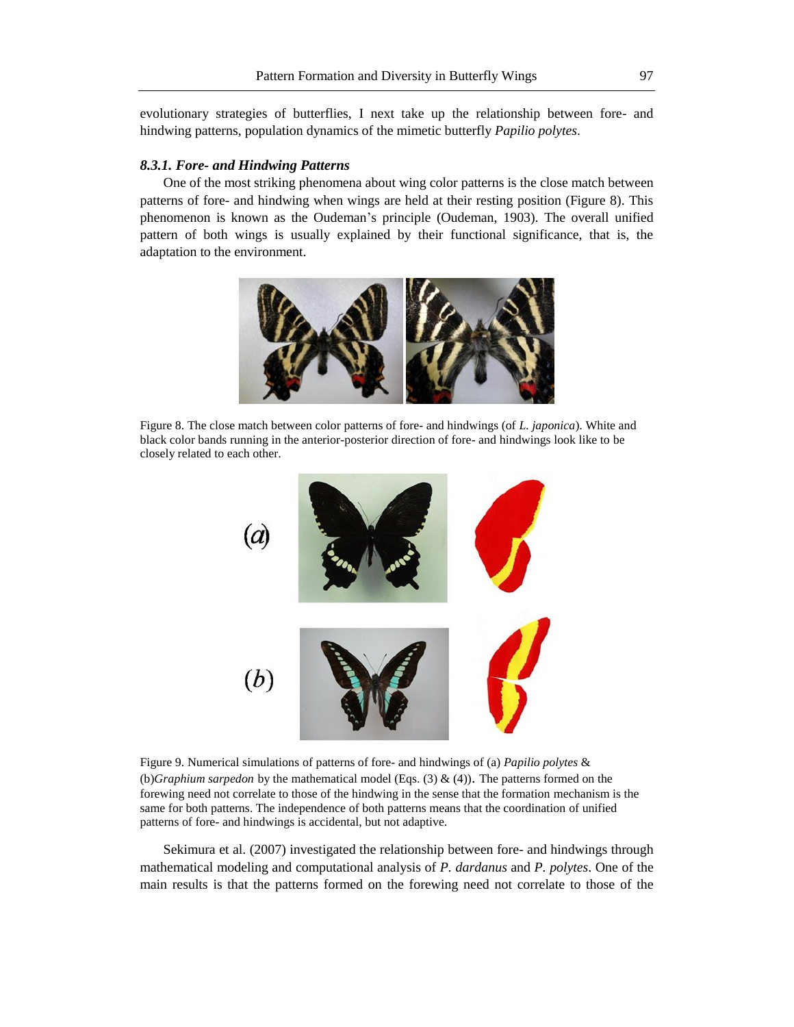evolutionary strategies of butterflies, I next take up the relationship between fore- and hindwing patterns, population dynamics of the mimetic butterfly *Papilio polytes*.

#### *8.3.1. Fore- and Hindwing Patterns*

One of the most striking phenomena about wing color patterns is the close match between patterns of fore- and hindwing when wings are held at their resting position (Figure 8). This phenomenon is known as the Oudeman's principle (Oudeman, 1903). The overall unified pattern of both wings is usually explained by their functional significance, that is, the adaptation to the environment.



Figure 8. The close match between color patterns of fore- and hindwings (of *L. japonica*). White and black color bands running in the anterior-posterior direction of fore- and hindwings look like to be closely related to each other.



Figure 9. Numerical simulations of patterns of fore- and hindwings of (a) *Papilio polytes* & (b)*Graphium sarpedon* by the mathematical model (Eqs. (3) & (4)). The patterns formed on the forewing need not correlate to those of the hindwing in the sense that the formation mechanism is the same for both patterns. The independence of both patterns means that the coordination of unified patterns of fore- and hindwings is accidental, but not adaptive.

Sekimura et al. (2007) investigated the relationship between fore- and hindwings through mathematical modeling and computational analysis of *P. dardanus* and *P. polytes*. One of the main results is that the patterns formed on the forewing need not correlate to those of the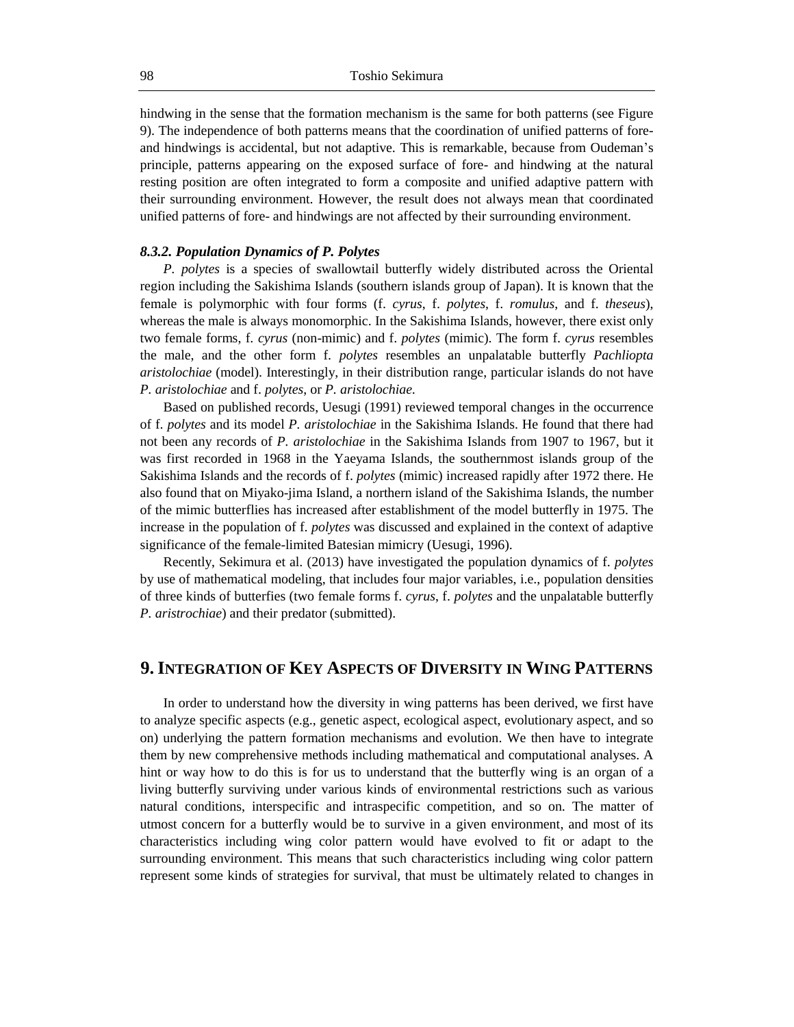hindwing in the sense that the formation mechanism is the same for both patterns (see Figure 9). The independence of both patterns means that the coordination of unified patterns of foreand hindwings is accidental, but not adaptive. This is remarkable, because from Oudeman's principle, patterns appearing on the exposed surface of fore- and hindwing at the natural resting position are often integrated to form a composite and unified adaptive pattern with their surrounding environment. However, the result does not always mean that coordinated unified patterns of fore- and hindwings are not affected by their surrounding environment.

#### *8.3.2. Population Dynamics of P. Polytes*

*P. polytes* is a species of swallowtail butterfly widely distributed across the Oriental region including the Sakishima Islands (southern islands group of Japan). It is known that the female is polymorphic with four forms (f. *cyrus*, f. *polytes*, f. *romulus*, and f. *theseus*), whereas the male is always monomorphic. In the Sakishima Islands, however, there exist only two female forms, f. *cyrus* (non-mimic) and f. *polytes* (mimic). The form f. *cyrus* resembles the male, and the other form f. *polytes* resembles an unpalatable butterfly *Pachliopta aristolochiae* (model). Interestingly, in their distribution range, particular islands do not have *P. aristolochiae* and f. *polytes*, or *P. aristolochiae*.

Based on published records, Uesugi (1991) reviewed temporal changes in the occurrence of f. *polytes* and its model *P. aristolochiae* in the Sakishima Islands. He found that there had not been any records of *P. aristolochiae* in the Sakishima Islands from 1907 to 1967, but it was first recorded in 1968 in the Yaeyama Islands, the southernmost islands group of the Sakishima Islands and the records of f. *polytes* (mimic) increased rapidly after 1972 there. He also found that on Miyako-jima Island, a northern island of the Sakishima Islands, the number of the mimic butterflies has increased after establishment of the model butterfly in 1975. The increase in the population of f. *polytes* was discussed and explained in the context of adaptive significance of the female-limited Batesian mimicry (Uesugi, 1996).

Recently, Sekimura et al. (2013) have investigated the population dynamics of f. *polytes*  by use of mathematical modeling, that includes four major variables, i.e., population densities of three kinds of butterfies (two female forms f. *cyrus*, f. *polytes* and the unpalatable butterfly *P. aristrochiae*) and their predator (submitted).

## **9.INTEGRATION OF KEY ASPECTS OF DIVERSITY IN WING PATTERNS**

In order to understand how the diversity in wing patterns has been derived, we first have to analyze specific aspects (e.g., genetic aspect, ecological aspect, evolutionary aspect, and so on) underlying the pattern formation mechanisms and evolution. We then have to integrate them by new comprehensive methods including mathematical and computational analyses. A hint or way how to do this is for us to understand that the butterfly wing is an organ of a living butterfly surviving under various kinds of environmental restrictions such as various natural conditions, interspecific and intraspecific competition, and so on. The matter of utmost concern for a butterfly would be to survive in a given environment, and most of its characteristics including wing color pattern would have evolved to fit or adapt to the surrounding environment. This means that such characteristics including wing color pattern represent some kinds of strategies for survival, that must be ultimately related to changes in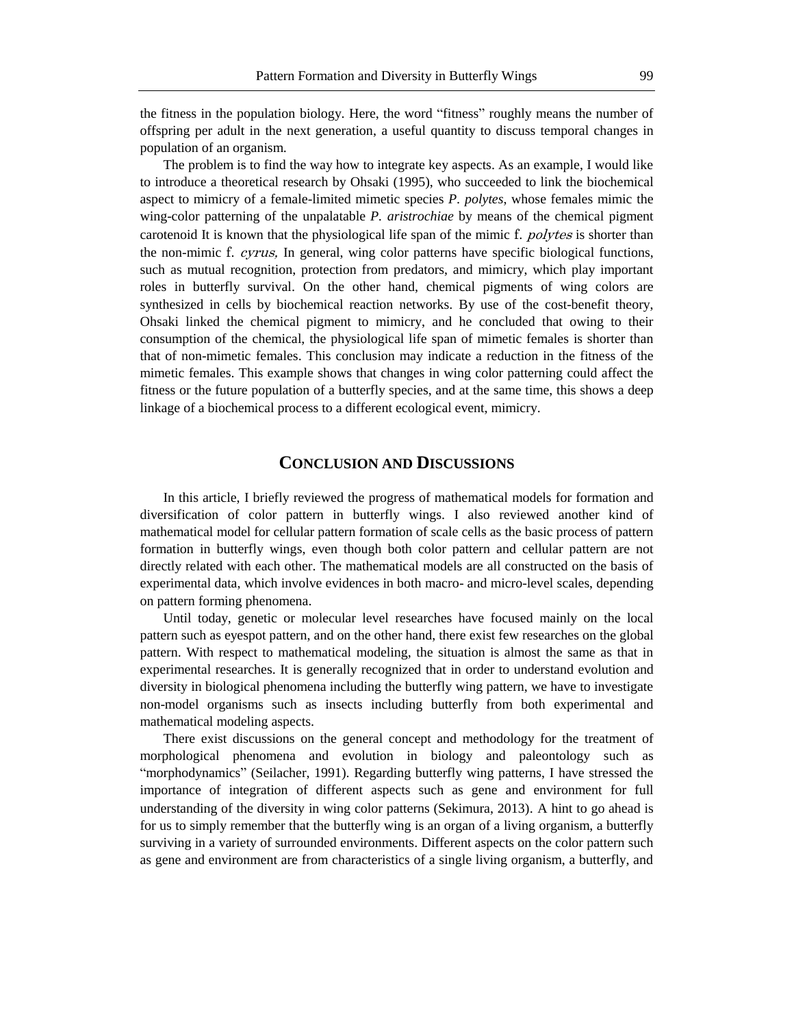the fitness in the population biology. Here, the word "fitness" roughly means the number of offspring per adult in the next generation, a useful quantity to discuss temporal changes in population of an organism.

The problem is to find the way how to integrate key aspects. As an example, I would like to introduce a theoretical research by Ohsaki (1995), who succeeded to link the biochemical aspect to mimicry of a female-limited mimetic species *P. polytes*, whose females mimic the wing-color patterning of the unpalatable *P. aristrochiae* by means of the chemical pigment carotenoid It is known that the physiological life span of the mimic f. *polytes* is shorter than the non-mimic f. cyrus, In general, wing color patterns have specific biological functions, such as mutual recognition, protection from predators, and mimicry, which play important roles in butterfly survival. On the other hand, chemical pigments of wing colors are synthesized in cells by biochemical reaction networks. By use of the cost-benefit theory, Ohsaki linked the chemical pigment to mimicry, and he concluded that owing to their consumption of the chemical, the physiological life span of mimetic females is shorter than that of non-mimetic females. This conclusion may indicate a reduction in the fitness of the mimetic females. This example shows that changes in wing color patterning could affect the fitness or the future population of a butterfly species, and at the same time, this shows a deep linkage of a biochemical process to a different ecological event, mimicry.

## **CONCLUSION AND DISCUSSIONS**

In this article, I briefly reviewed the progress of mathematical models for formation and diversification of color pattern in butterfly wings. I also reviewed another kind of mathematical model for cellular pattern formation of scale cells as the basic process of pattern formation in butterfly wings, even though both color pattern and cellular pattern are not directly related with each other. The mathematical models are all constructed on the basis of experimental data, which involve evidences in both macro- and micro-level scales, depending on pattern forming phenomena.

Until today, genetic or molecular level researches have focused mainly on the local pattern such as eyespot pattern, and on the other hand, there exist few researches on the global pattern. With respect to mathematical modeling, the situation is almost the same as that in experimental researches. It is generally recognized that in order to understand evolution and diversity in biological phenomena including the butterfly wing pattern, we have to investigate non-model organisms such as insects including butterfly from both experimental and mathematical modeling aspects.

There exist discussions on the general concept and methodology for the treatment of morphological phenomena and evolution in biology and paleontology such as "morphodynamics" (Seilacher, 1991). Regarding butterfly wing patterns, I have stressed the importance of integration of different aspects such as gene and environment for full understanding of the diversity in wing color patterns (Sekimura, 2013). A hint to go ahead is for us to simply remember that the butterfly wing is an organ of a living organism, a butterfly surviving in a variety of surrounded environments. Different aspects on the color pattern such as gene and environment are from characteristics of a single living organism, a butterfly, and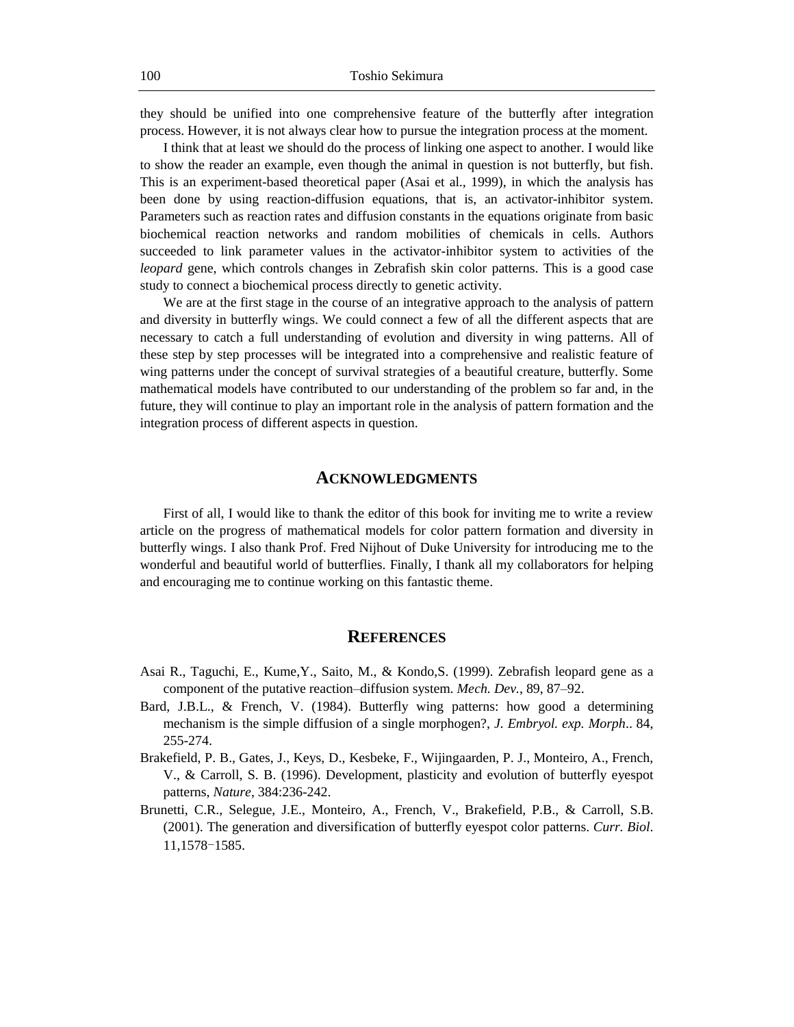they should be unified into one comprehensive feature of the butterfly after integration process. However, it is not always clear how to pursue the integration process at the moment.

I think that at least we should do the process of linking one aspect to another. I would like to show the reader an example, even though the animal in question is not butterfly, but fish. This is an experiment-based theoretical paper (Asai et al., 1999), in which the analysis has been done by using reaction-diffusion equations, that is, an activator-inhibitor system. Parameters such as reaction rates and diffusion constants in the equations originate from basic biochemical reaction networks and random mobilities of chemicals in cells. Authors succeeded to link parameter values in the activator-inhibitor system to activities of the *leopard* gene, which controls changes in Zebrafish skin color patterns. This is a good case study to connect a biochemical process directly to genetic activity.

We are at the first stage in the course of an integrative approach to the analysis of pattern and diversity in butterfly wings. We could connect a few of all the different aspects that are necessary to catch a full understanding of evolution and diversity in wing patterns. All of these step by step processes will be integrated into a comprehensive and realistic feature of wing patterns under the concept of survival strategies of a beautiful creature, butterfly. Some mathematical models have contributed to our understanding of the problem so far and, in the future, they will continue to play an important role in the analysis of pattern formation and the integration process of different aspects in question.

#### **ACKNOWLEDGMENTS**

First of all, I would like to thank the editor of this book for inviting me to write a review article on the progress of mathematical models for color pattern formation and diversity in butterfly wings. I also thank Prof. Fred Nijhout of Duke University for introducing me to the wonderful and beautiful world of butterflies. Finally, I thank all my collaborators for helping and encouraging me to continue working on this fantastic theme.

### **REFERENCES**

- Asai R., Taguchi, E., Kume,Y., Saito, M., & Kondo,S. (1999). Zebrafish leopard gene as a component of the putative reaction–diffusion system. *Mech. Dev.*, 89, 87–92.
- Bard, J.B.L., & French, V. (1984). Butterfly wing patterns: how good a determining mechanism is the simple diffusion of a single morphogen?, *J. Embryol. exp. Morph*.. 84, 255-274.
- Brakefield, P. B., Gates, J., Keys, D., Kesbeke, F., Wijingaarden, P. J., Monteiro, A., French, V., & Carroll, S. B. (1996). Development, plasticity and evolution of butterfly eyespot patterns, *Nature*, 384:236-242.
- Brunetti, C.R., Selegue, J.E., Monteiro, A., French, V., Brakefield, P.B., & Carroll, S.B. (2001). The generation and diversification of butterfly eyespot color patterns. *Curr. Biol*. 11,1578-1585.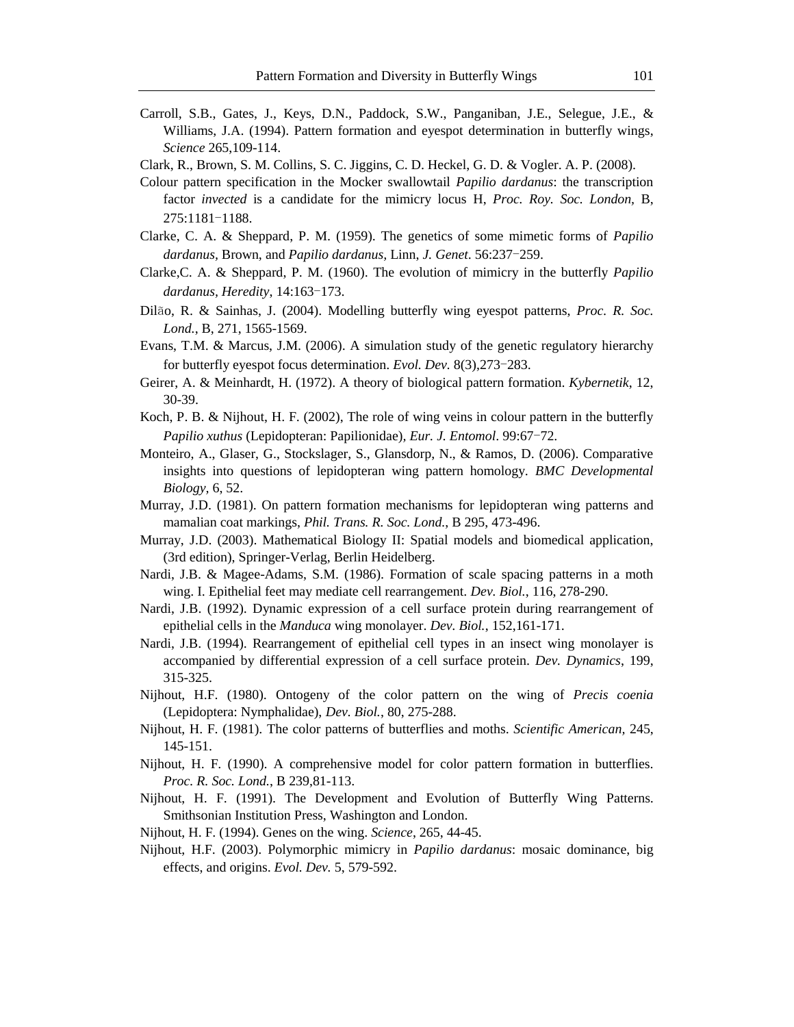- Carroll, S.B., Gates, J., Keys, D.N., Paddock, S.W., Panganiban, J.E., Selegue, J.E., & Williams, J.A. (1994). Pattern formation and eyespot determination in butterfly wings, *Science* 265,109-114.
- Clark, R., Brown, S. M. Collins, S. C. Jiggins, C. D. Heckel, G. D. & Vogler. A. P. (2008).
- Colour pattern specification in the Mocker swallowtail *Papilio dardanus*: the transcription factor *invected* is a candidate for the mimicry locus H, *Proc. Roy. Soc. London,* B, 275:1181-1188.
- Clarke, C. A. & Sheppard, P. M. (1959). The genetics of some mimetic forms of *Papilio dardanus,* Brown, and *Papilio dardanus,* Linn, *J. Genet*. 56:237-259.
- Clarke,C. A. & Sheppard, P. M. (1960). The evolution of mimicry in the butterfly *Papilio dardanus, Heredity*, 14:163-173.
- Dilão, R. & Sainhas, J. (2004). Modelling butterfly wing eyespot patterns, *Proc. R. Soc. Lond.*, B, 271, 1565-1569.
- Evans, T.M. & Marcus, J.M. (2006). A simulation study of the genetic regulatory hierarchy for butterfly eyespot focus determination. *Evol. Dev.* 8(3),273-283.
- Geirer, A. & Meinhardt, H. (1972). A theory of biological pattern formation. *Kybernetik*, 12, 30-39.
- Koch, P. B. & Nijhout, H. F. (2002), The role of wing veins in colour pattern in the butterfly *Papilio xuthus* (Lepidopteran: Papilionidae)*, Eur. J. Entomol*. 99:67-72.
- Monteiro, A., Glaser, G., Stockslager, S., Glansdorp, N., & Ramos, D. (2006). Comparative insights into questions of lepidopteran wing pattern homology. *BMC Developmental Biology,* 6, 52.
- Murray, J.D. (1981). On pattern formation mechanisms for lepidopteran wing patterns and mamalian coat markings, *Phil. Trans. R. Soc. Lond.*, B 295, 473-496.
- Murray, J.D. (2003). Mathematical Biology II: Spatial models and biomedical application, (3rd edition), Springer-Verlag, Berlin Heidelberg.
- Nardi, J.B. & Magee-Adams, S.M. (1986). Formation of scale spacing patterns in a moth wing. I. Epithelial feet may mediate cell rearrangement. *Dev. Biol.*, 116, 278-290.
- Nardi, J.B. (1992). Dynamic expression of a cell surface protein during rearrangement of epithelial cells in the *Manduca* wing monolayer. *Dev. Biol.*, 152,161-171.
- Nardi, J.B. (1994). Rearrangement of epithelial cell types in an insect wing monolayer is accompanied by differential expression of a cell surface protein. *Dev. Dynamics*, 199, 315-325.
- Nijhout, H.F. (1980). Ontogeny of the color pattern on the wing of *Precis coenia* (Lepidoptera: Nymphalidae), *Dev. Biol.*, 80, 275-288.
- Nijhout, H. F. (1981). The color patterns of butterflies and moths. *Scientific American,* 245, 145-151.
- Nijhout, H. F. (1990). A comprehensive model for color pattern formation in butterflies. *Proc. R. Soc. Lond.*, B 239,81-113.
- Nijhout, H. F. (1991). The Development and Evolution of Butterfly Wing Patterns. Smithsonian Institution Press, Washington and London.
- Nijhout, H. F. (1994). Genes on the wing. *Science*, 265, 44-45.
- Nijhout, H.F. (2003). Polymorphic mimicry in *Papilio dardanus*: mosaic dominance, big effects, and origins. *Evol. Dev.* 5, 579-592.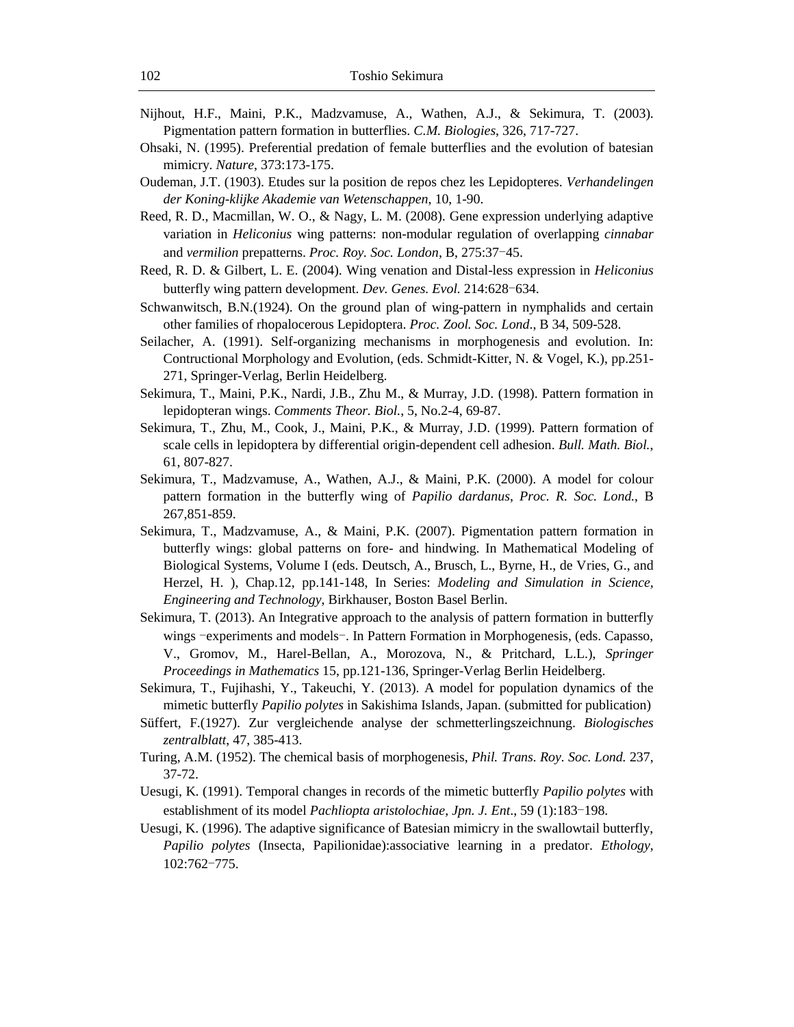- Nijhout, H.F., Maini, P.K., Madzvamuse, A., Wathen, A.J., & Sekimura, T. (2003). Pigmentation pattern formation in butterflies. *C.M. Biologies*, 326, 717-727.
- Ohsaki, N. (1995). Preferential predation of female butterflies and the evolution of batesian mimicry. *Nature*, 373:173-175.
- Oudeman, J.T. (1903). Etudes sur la position de repos chez les Lepidopteres. *Verhandelingen der Koning-klijke Akademie van Wetenschappen*, 10, 1-90.
- Reed, R. D., Macmillan, W. O., & Nagy, L. M. (2008). Gene expression underlying adaptive variation in *Heliconius* wing patterns: non-modular regulation of overlapping *cinnabar* and *vermilion* prepatterns. *Proc. Roy. Soc. London,* B, 275:37-45.
- Reed, R. D. & Gilbert, L. E. (2004). Wing venation and Distal-less expression in *Heliconius* butterfly wing pattern development. *Dev. Genes. Evol.* 214:628-634.
- Schwanwitsch, B.N.(1924). On the ground plan of wing-pattern in nymphalids and certain other families of rhopalocerous Lepidoptera. *Proc. Zool. Soc. Lond*., B 34, 509-528.
- Seilacher, A. (1991). Self-organizing mechanisms in morphogenesis and evolution. In: Contructional Morphology and Evolution, (eds. Schmidt-Kitter, N. & Vogel, K.), pp.251- 271, Springer-Verlag, Berlin Heidelberg.
- Sekimura, T., Maini, P.K., Nardi, J.B., Zhu M., & Murray, J.D. (1998). Pattern formation in lepidopteran wings. *Comments Theor. Biol.*, 5, No.2-4, 69-87.
- Sekimura, T., Zhu, M., Cook, J., Maini, P.K., & Murray, J.D. (1999). Pattern formation of scale cells in lepidoptera by differential origin-dependent cell adhesion. *Bull. Math. Biol.*, 61, 807-827.
- Sekimura, T., Madzvamuse, A., Wathen, A.J., & Maini, P.K. (2000). A model for colour pattern formation in the butterfly wing of *Papilio dardanus*, *Proc. R. Soc. Lond.*, B 267,851-859.
- Sekimura, T., Madzvamuse, A., & Maini, P.K. (2007). Pigmentation pattern formation in butterfly wings: global patterns on fore- and hindwing. In Mathematical Modeling of Biological Systems, Volume I (eds. Deutsch, A., Brusch, L., Byrne, H., de Vries, G., and Herzel, H. ), Chap.12, pp.141-148, In Series: *Modeling and Simulation in Science, Engineering and Technology*, Birkhauser, Boston Basel Berlin.
- Sekimura, T. (2013). An Integrative approach to the analysis of pattern formation in butterfly wings -experiments and models-. In Pattern Formation in Morphogenesis, (eds. Capasso, V., Gromov, M., Harel-Bellan, A., Morozova, N., & Pritchard, L.L.), *Springer Proceedings in Mathematics* 15, pp.121-136, Springer-Verlag Berlin Heidelberg.
- Sekimura, T., Fujihashi, Y., Takeuchi, Y. (2013). A model for population dynamics of the mimetic butterfly *Papilio polytes* in Sakishima Islands, Japan. (submitted for publication)
- Süffert, F.(1927). Zur vergleichende analyse der schmetterlingszeichnung. *Biologisches zentralblatt*, 47, 385-413.
- Turing, A.M. (1952). The chemical basis of morphogenesis, *Phil. Trans. Roy. Soc. Lond.* 237, 37-72.
- Uesugi, K. (1991). Temporal changes in records of the mimetic butterfly *Papilio polytes* with establishment of its model *Pachliopta aristolochiae*, *Jpn. J. Ent*., 59 (1):183-198.
- Uesugi, K. (1996). The adaptive significance of Batesian mimicry in the swallowtail butterfly, *Papilio polytes* (Insecta, Papilionidae):associative learning in a predator. *Ethology*, 102:762-775.